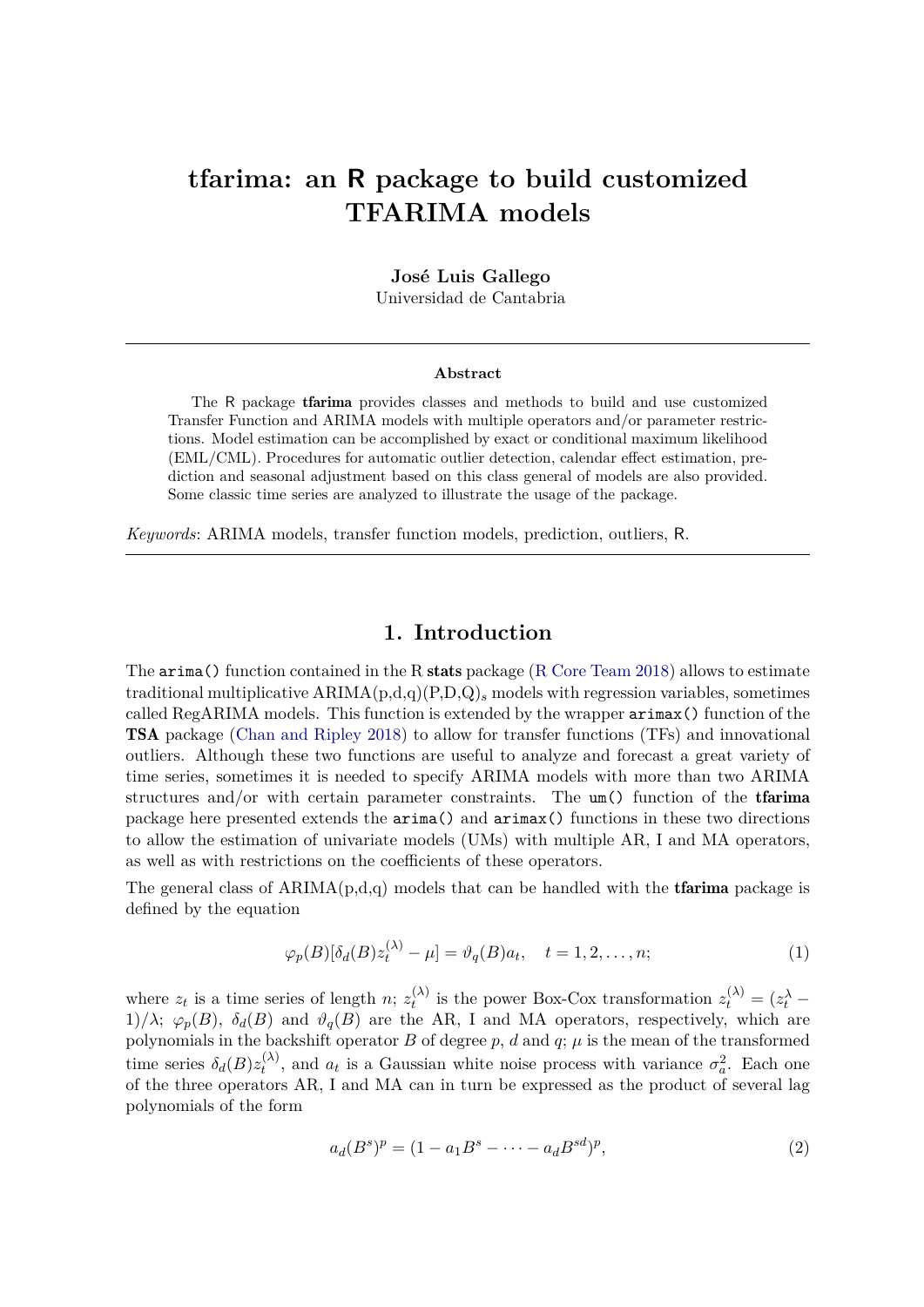# **tfarima: an R package to build customized TFARIMA models**

**José Luis Gallego**

Universidad de Cantabria

#### **Abstract**

The R package tfarima provides classes and methods to build and use customized Transfer Function and ARIMA models with multiple operators and/or parameter restrictions. Model estimation can be accomplished by exact or conditional maximum likelihood (EML/CML). Procedures for automatic outlier detection, calendar effect estimation, prediction and seasonal adjustment based on this class general of models are also provided. Some classic time series are analyzed to illustrate the usage of the package.

*Keywords*: ARIMA models, transfer function models, prediction, outliers, R.

## **1. Introduction**

The  $\pi$  imaged function contained in the R stats package (R Core Team 2018) allows to estimate traditional multiplicative ARIMA(p,d,q)(P,D,Q)*<sup>s</sup>* models with regression variables, sometimes called RegARIMA models. This function is extended by the wrapper arimax() function of the TSA package (Chan and Ripley 2018) to allow for transfer functions (TFs) and innovational outliers. Although these two functions are useful to analyze and forecast a great variety of time series, sometimes it is needed to specify ARIMA models with more than two ARIMA structures and/or with certain parameter constraints. The um() function of the tfarima package here presented extends the arima() and arimax() functions in these two directions to allow the estimation of univariate models (UMs) with multiple AR, I and MA operators, as well as with restrictions on the coefficients of these operators.

The general class of  $ARIMA(p,d,q)$  models that can be handled with the **tfarima** package is defined by the equation

$$
\varphi_p(B)[\delta_d(B)z_t^{(\lambda)} - \mu] = \vartheta_q(B)a_t, \quad t = 1, 2, \dots, n; \tag{1}
$$

where  $z_t$  is a time series of length *n*;  $z_t^{(\lambda)}$  $z_t^{(\lambda)}$  is the power Box-Cox transformation  $z_t^{(\lambda)} = (z_t^{\lambda} - z_t^{\lambda})$ 1)/ $\lambda$ ;  $\varphi_p(B)$ ,  $\delta_d(B)$  and  $\vartheta_q(B)$  are the AR, I and MA operators, respectively, which are polynomials in the backshift operator *B* of degree  $p$ ,  $d$  and  $q$ ;  $\mu$  is the mean of the transformed time series  $\delta_d(B)z_t^{(\lambda)}$  $t^{(\lambda)}$ , and  $a_t$  is a Gaussian white noise process with variance  $\sigma_a^2$ . Each one of the three operators AR, I and MA can in turn be expressed as the product of several lag polynomials of the form

$$
a_d(B^s)^p = (1 - a_1 B^s - \dots - a_d B^{sd})^p,
$$
\n(2)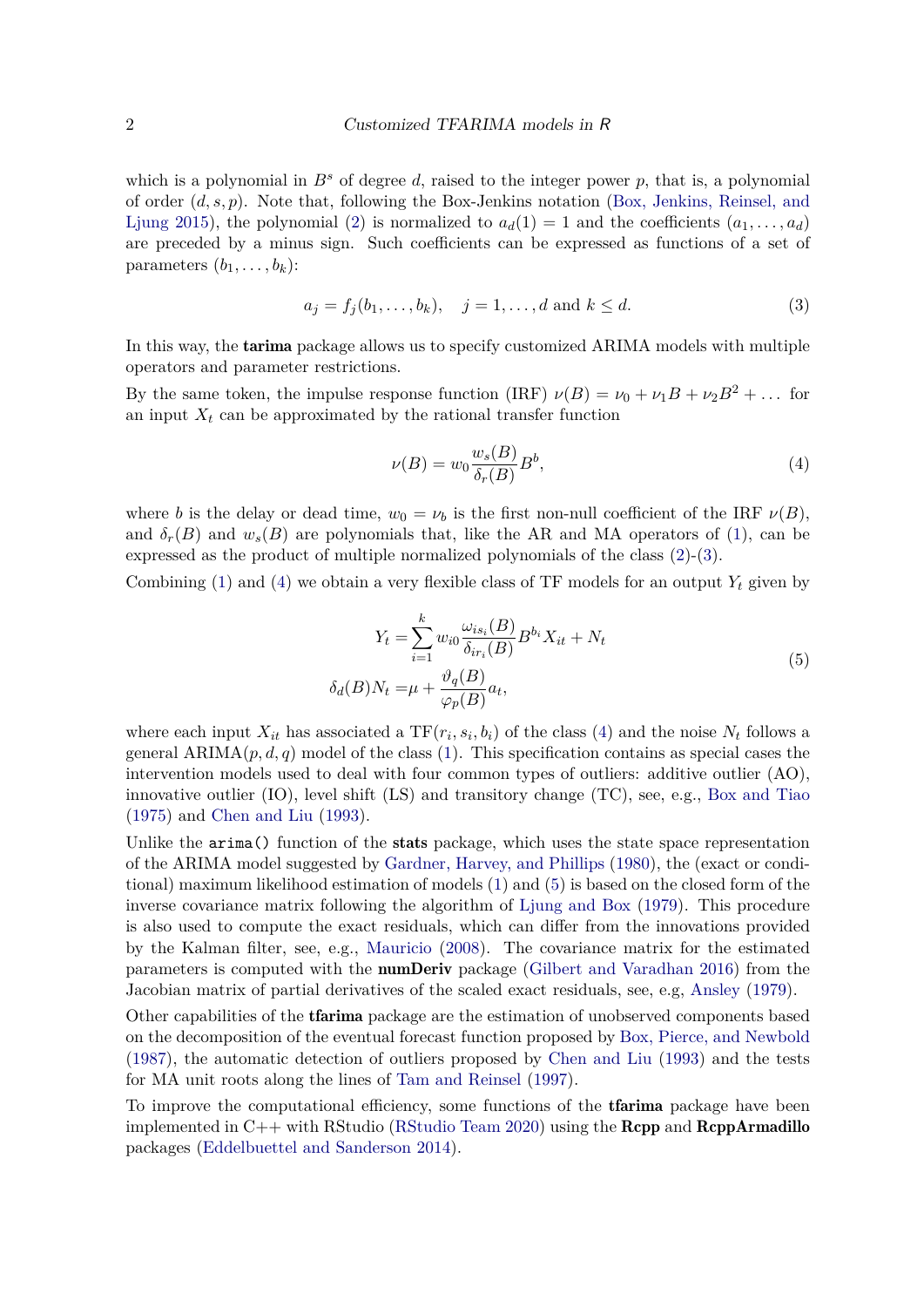which is a polynomial in  $B^s$  of degree d, raised to the integer power p, that is, a polynomial of order (*d, s, p*). Note that, following the Box-Jenkins notation (Box, Jenkins, Reinsel, and Ljung 2015), the polynomial (2) is normalized to  $a_d(1) = 1$  and the coefficients  $(a_1, \ldots, a_d)$ are preceded by a minus sign. Such coefficients can be expressed as functions of a set of parameters  $(b_1, \ldots, b_k)$ :

$$
a_j = f_j(b_1, \dots, b_k), \quad j = 1, \dots, d \text{ and } k \le d. \tag{3}
$$

In this way, the tarima package allows us to specify customized ARIMA models with multiple operators and parameter restrictions.

By the same token, the impulse response function (IRF)  $\nu(B) = \nu_0 + \nu_1 B + \nu_2 B^2 + \dots$  for an input  $X_t$  can be approximated by the rational transfer function

$$
\nu(B) = w_0 \frac{w_s(B)}{\delta_r(B)} B^b,\tag{4}
$$

where *b* is the delay or dead time,  $w_0 = \nu_b$  is the first non-null coefficient of the IRF  $\nu(B)$ , and  $\delta_r(B)$  and  $w_s(B)$  are polynomials that, like the AR and MA operators of (1), can be expressed as the product of multiple normalized polynomials of the class  $(2)-(3)$ .

Combining  $(1)$  and  $(4)$  we obtain a very flexible class of TF models for an output  $Y_t$  given by

$$
Y_t = \sum_{i=1}^k w_{i0} \frac{\omega_{is_i}(B)}{\delta_{ir_i}(B)} B^{b_i} X_{it} + N_t
$$
  

$$
\delta_d(B) N_t = \mu + \frac{\vartheta_q(B)}{\varphi_p(B)} a_t,
$$
\n
$$
(5)
$$

where each input  $X_{it}$  has associated a  $TF(r_i, s_i, b_i)$  of the class (4) and the noise  $N_t$  follows a general  $ARIMA(p, d, q)$  model of the class (1). This specification contains as special cases the intervention models used to deal with four common types of outliers: additive outlier (AO), innovative outlier (IO), level shift (LS) and transitory change (TC), see, e.g., Box and Tiao (1975) and Chen and Liu (1993).

Unlike the arima() function of the stats package, which uses the state space representation of the ARIMA model suggested by Gardner, Harvey, and Phillips (1980), the (exact or conditional) maximum likelihood estimation of models (1) and (5) is based on the closed form of the inverse covariance matrix following the algorithm of Ljung and Box (1979). This procedure is also used to compute the exact residuals, which can differ from the innovations provided by the Kalman filter, see, e.g., Mauricio (2008). The covariance matrix for the estimated parameters is computed with the numDeriv package (Gilbert and Varadhan 2016) from the Jacobian matrix of partial derivatives of the scaled exact residuals, see, e.g, Ansley (1979).

Other capabilities of the tfarima package are the estimation of unobserved components based on the decomposition of the eventual forecast function proposed by Box, Pierce, and Newbold (1987), the automatic detection of outliers proposed by Chen and Liu (1993) and the tests for MA unit roots along the lines of Tam and Reinsel (1997).

To improve the computational efficiency, some functions of the **traine** package have been implemented in  $C_{++}$  with RStudio (RStudio Team 2020) using the **Rcpp** and **RcppArmadillo** packages (Eddelbuettel and Sanderson 2014).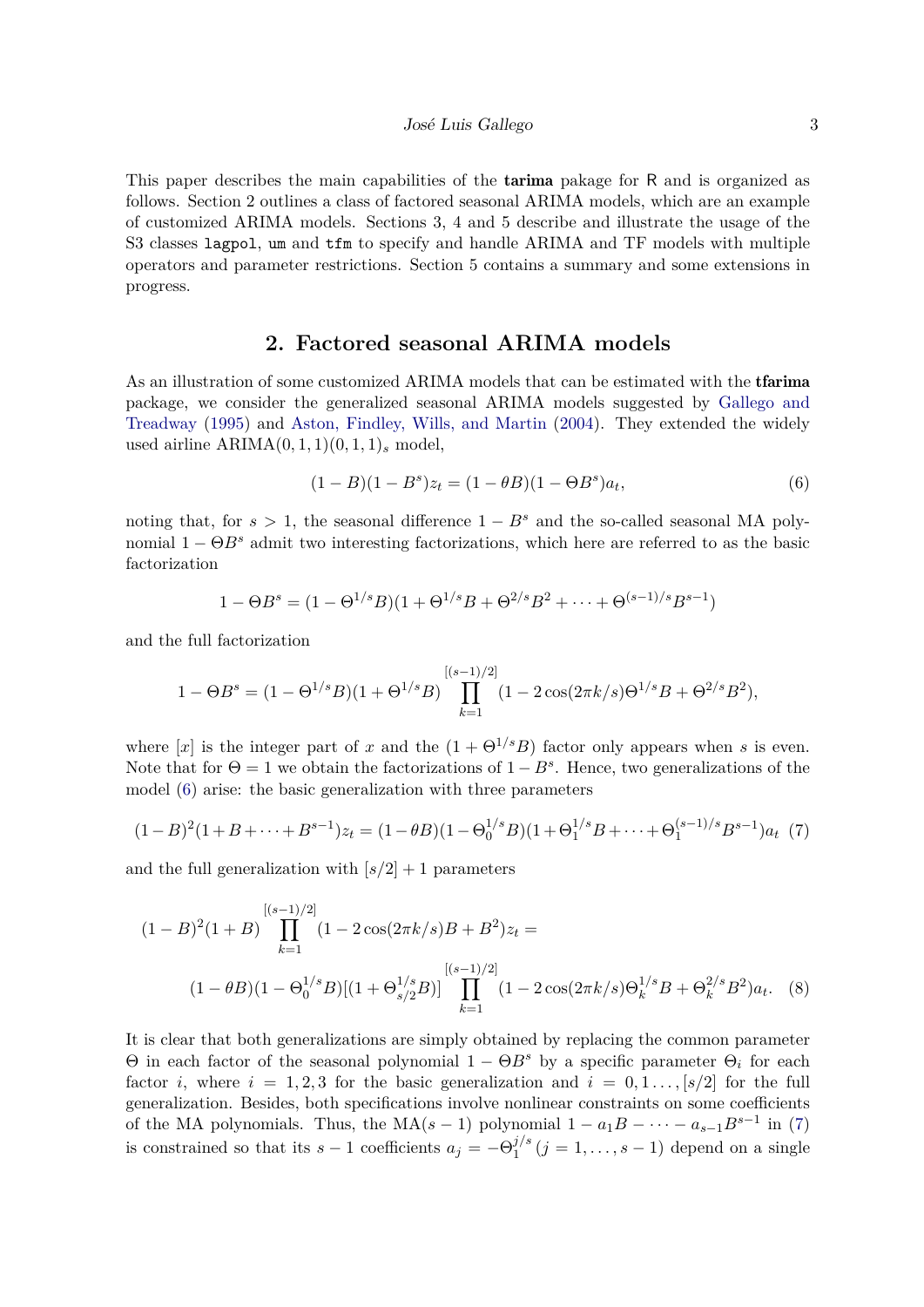This paper describes the main capabilities of the tarima pakage for R and is organized as follows. Section 2 outlines a class of factored seasonal ARIMA models, which are an example of customized ARIMA models. Sections 3, 4 and 5 describe and illustrate the usage of the S3 classes lagpol, um and tfm to specify and handle ARIMA and TF models with multiple operators and parameter restrictions. Section 5 contains a summary and some extensions in progress.

## **2. Factored seasonal ARIMA models**

As an illustration of some customized ARIMA models that can be estimated with the tfarima package, we consider the generalized seasonal ARIMA models suggested by Gallego and Treadway (1995) and Aston, Findley, Wills, and Martin (2004). They extended the widely used airline  $ARIMA(0, 1, 1)(0, 1, 1)$ <sub>s</sub> model,

$$
(1 - B)(1 - Bs)zt = (1 - \theta B)(1 - \Theta Bs)at, \t\t(6)
$$

noting that, for  $s > 1$ , the seasonal difference  $1 - B^s$  and the so-called seasonal MA polynomial  $1 - \Theta B^s$  admit two interesting factorizations, which here are referred to as the basic factorization

$$
1 - \Theta B^s = (1 - \Theta^{1/s} B)(1 + \Theta^{1/s} B + \Theta^{2/s} B^2 + \dots + \Theta^{(s-1)/s} B^{s-1})
$$

and the full factorization

$$
1 - \Theta B^{s} = (1 - \Theta^{1/s} B)(1 + \Theta^{1/s} B) \prod_{k=1}^{[(s-1)/2]} (1 - 2\cos(2\pi k/s)\Theta^{1/s}B + \Theta^{2/s} B^{2}),
$$

where [*x*] is the integer part of *x* and the  $(1 + \Theta^{1/s}B)$  factor only appears when *s* is even. Note that for  $\Theta = 1$  we obtain the factorizations of  $1 - B^s$ . Hence, two generalizations of the model (6) arise: the basic generalization with three parameters

$$
(1-B)^2(1+B+\cdots+B^{s-1})z_t = (1-\theta B)(1-\Theta_0^{1/s}B)(1+\Theta_1^{1/s}B+\cdots+\Theta_1^{(s-1)/s}B^{s-1})a_t \tag{7}
$$

and the full generalization with  $[s/2] + 1$  parameters

$$
(1 - B)^2 (1 + B) \prod_{k=1}^{[(s-1)/2]} (1 - 2\cos(2\pi k/s)B + B^2)z_t =
$$
  

$$
(1 - \theta B)(1 - \Theta_0^{1/s}B)[(1 + \Theta_{s/2}^{1/s}B)] \prod_{k=1}^{[(s-1)/2]} (1 - 2\cos(2\pi k/s)\Theta_k^{1/s}B + \Theta_k^{2/s}B^2)a_t.
$$
 (8)

It is clear that both generalizations are simply obtained by replacing the common parameter Θ in each factor of the seasonal polynomial 1 − Θ*B<sup>s</sup>* by a specific parameter Θ*<sup>i</sup>* for each factor *i*, where  $i = 1, 2, 3$  for the basic generalization and  $i = 0, 1, \ldots, [s/2]$  for the full generalization. Besides, both specifications involve nonlinear constraints on some coefficients of the MA polynomials. Thus, the MA( $s - 1$ ) polynomial  $1 - a_1B - \cdots - a_{s-1}B^{s-1}$  in (7) is constrained so that its  $s - 1$  coefficients  $a_j = -\Theta_1^{j/s}$  $j_1^{j/s}$   $(j = 1, \ldots, s - 1)$  depend on a single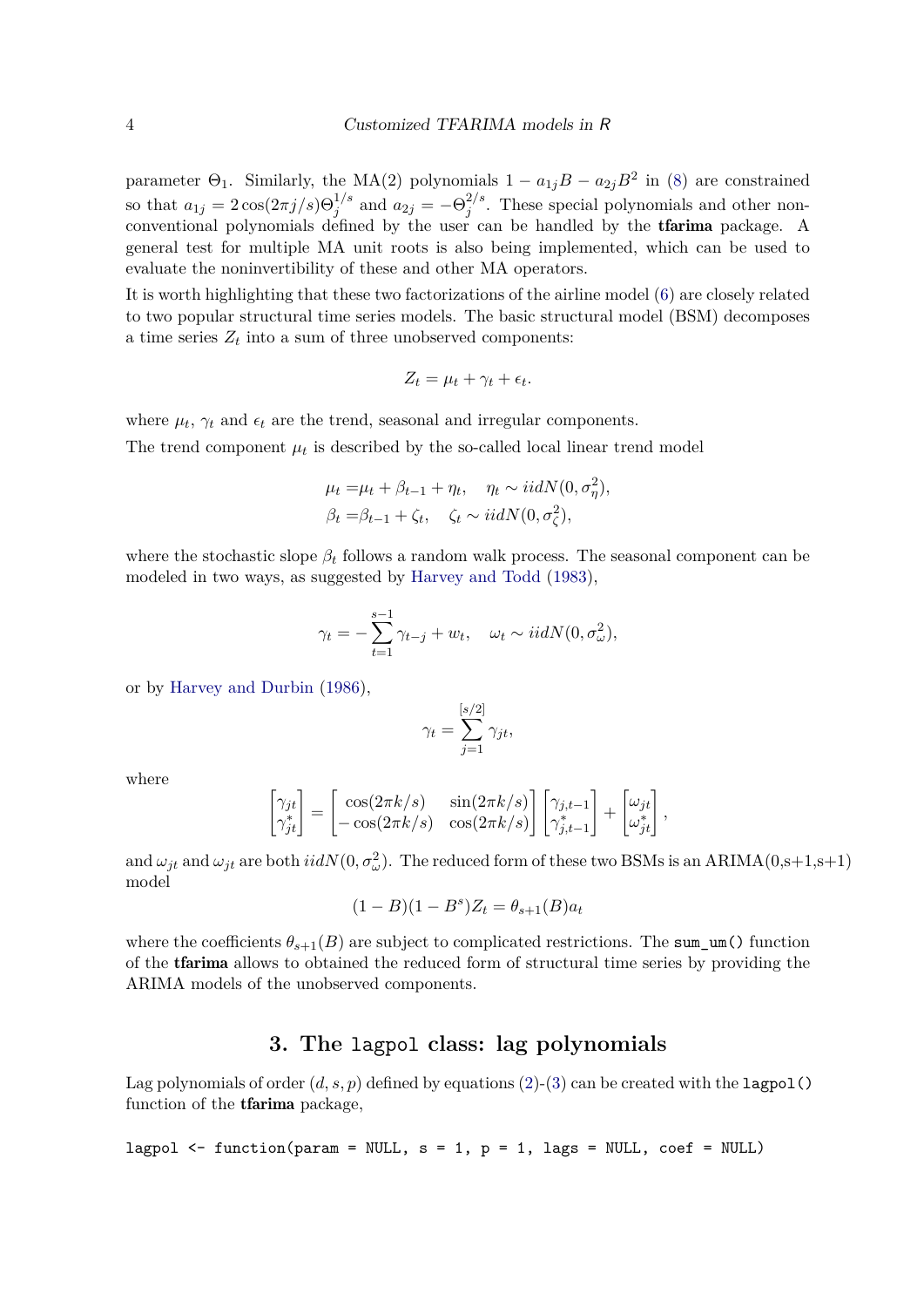parameter  $\Theta_1$ . Similarly, the MA(2) polynomials  $1 - a_{1j}B - a_{2j}B^2$  in (8) are constrained so that  $a_{1j} = 2\cos(2\pi j/s)\Theta_j^{1/s}$  and  $a_{2j} = -\Theta_j^{2/s}$  $j^2$ . These special polynomials and other nonconventional polynomials defined by the user can be handled by the tfarima package. A general test for multiple MA unit roots is also being implemented, which can be used to evaluate the noninvertibility of these and other MA operators.

It is worth highlighting that these two factorizations of the airline model (6) are closely related to two popular structural time series models. The basic structural model (BSM) decomposes a time series  $Z_t$  into a sum of three unobserved components:

$$
Z_t = \mu_t + \gamma_t + \epsilon_t.
$$

where  $\mu_t$ ,  $\gamma_t$  and  $\epsilon_t$  are the trend, seasonal and irregular components.

The trend component  $\mu_t$  is described by the so-called local linear trend model

$$
\mu_t = \mu_t + \beta_{t-1} + \eta_t, \quad \eta_t \sim iidN(0, \sigma_\eta^2),
$$
  

$$
\beta_t = \beta_{t-1} + \zeta_t, \quad \zeta_t \sim iidN(0, \sigma_\zeta^2),
$$

where the stochastic slope  $\beta_t$  follows a random walk process. The seasonal component can be modeled in two ways, as suggested by Harvey and Todd (1983),

$$
\gamma_t = -\sum_{t=1}^{s-1} \gamma_{t-j} + w_t, \quad \omega_t \sim i i dN(0, \sigma_\omega^2),
$$

or by Harvey and Durbin (1986),

$$
\gamma_t = \sum_{j=1}^{[s/2]} \gamma_{jt},
$$

where

$$
\begin{bmatrix} \gamma_{jt} \\ \gamma_{jt}^* \end{bmatrix} = \begin{bmatrix} \cos(2\pi k/s) & \sin(2\pi k/s) \\ -\cos(2\pi k/s) & \cos(2\pi k/s) \end{bmatrix} \begin{bmatrix} \gamma_{j,t-1} \\ \gamma_{j,t-1}^* \end{bmatrix} + \begin{bmatrix} \omega_{jt} \\ \omega_{jt}^* \end{bmatrix},
$$

and  $\omega_{jt}$  and  $\omega_{jt}$  are both  $iidN(0, \sigma_{\omega}^2)$ . The reduced form of these two BSMs is an ARIMA(0,s+1,s+1) model

$$
(1 - B)(1 - B^{s})Z_{t} = \theta_{s+1}(B)a_{t}
$$

where the coefficients  $\theta_{s+1}(B)$  are subject to complicated restrictions. The sum um() function of the tfarima allows to obtained the reduced form of structural time series by providing the ARIMA models of the unobserved components.

# **3. The** lagpol **class: lag polynomials**

Lag polynomials of order  $(d, s, p)$  defined by equations  $(2)$ - $(3)$  can be created with the lagpol() function of the tfarima package,

lagpol 
$$
\leftarrow
$$
 function(param = NULL, s = 1, p = 1, lags = NULL, coef = NULL)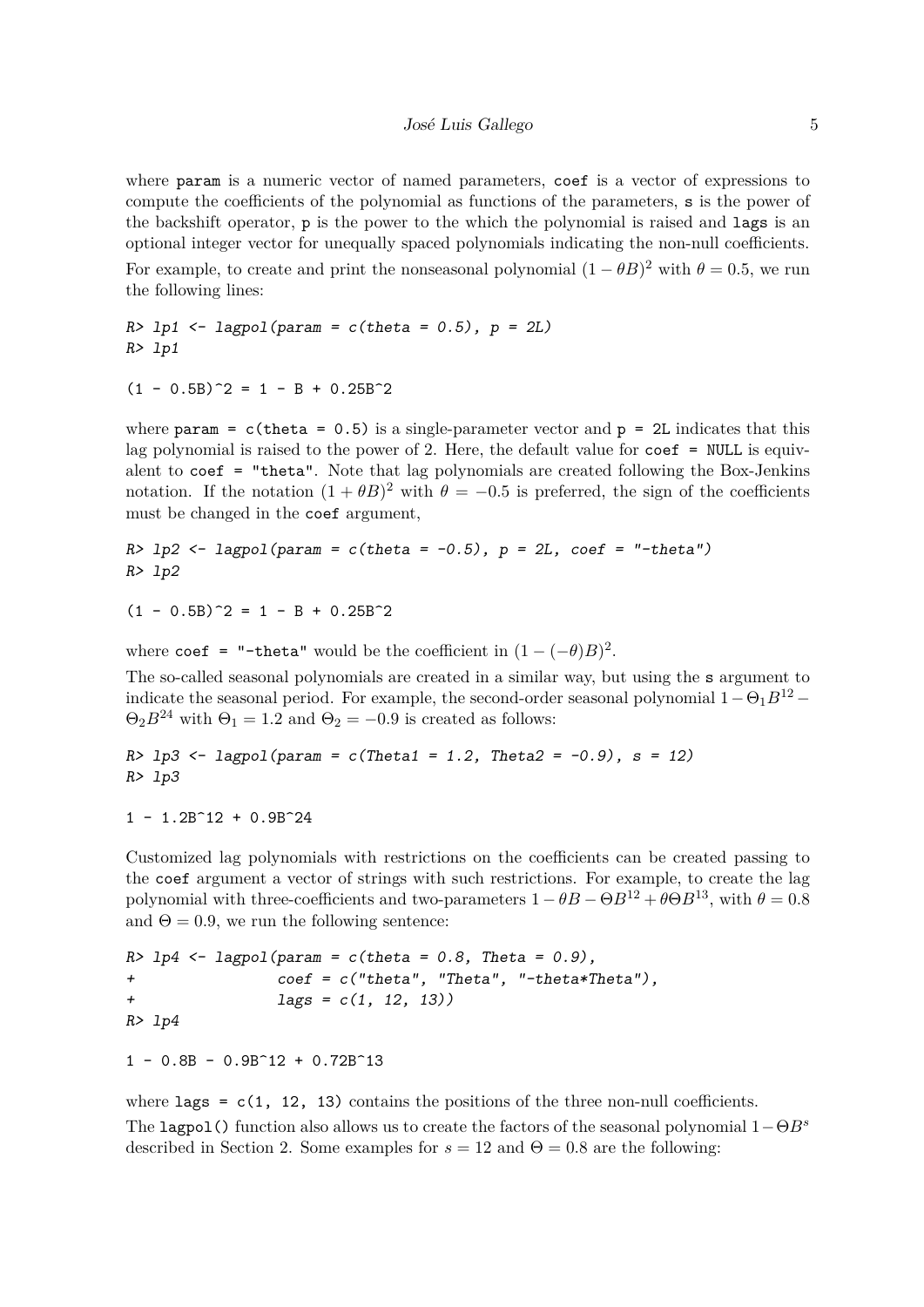where param is a numeric vector of named parameters, coef is a vector of expressions to compute the coefficients of the polynomial as functions of the parameters, s is the power of the backshift operator, p is the power to the which the polynomial is raised and lags is an optional integer vector for unequally spaced polynomials indicating the non-null coefficients. For example, to create and print the nonseasonal polynomial  $(1 - \theta B)^2$  with  $\theta = 0.5$ , we run the following lines:

*R> lp1 <- lagpol(param = c(theta = 0.5), p = 2L) R> lp1*

 $(1 - 0.5B)^2 = 1 - B + 0.25B^2$ 

where param =  $c$ (theta = 0.5) is a single-parameter vector and p = 2L indicates that this lag polynomial is raised to the power of 2. Here, the default value for  $\text{coeff} = \text{NULL}$  is equivalent to coef = "theta". Note that lag polynomials are created following the Box-Jenkins notation. If the notation  $(1 + \theta B)^2$  with  $\theta = -0.5$  is preferred, the sign of the coefficients must be changed in the coef argument,

*R> lp2 <- lagpol(param = c(theta = -0.5), p = 2L, coef = "-theta") R> lp2*

 $(1 - 0.5B)^2 = 1 - B + 0.25B^2$ 

where coef = "-theta" would be the coefficient in  $(1 - (-\theta)B)^2$ .

The so-called seasonal polynomials are created in a similar way, but using the s argument to indicate the seasonal period. For example, the second-order seasonal polynomial  $1-\Theta_1B^{12}$  –  $\Theta_2 B^{24}$  with  $\Theta_1 = 1.2$  and  $\Theta_2 = -0.9$  is created as follows:

*R> lp3 <- lagpol(param = c(Theta1 = 1.2, Theta2 = -0.9), s = 12) R> lp3*

 $1 - 1.2B^12 + 0.9B^24$ 

Customized lag polynomials with restrictions on the coefficients can be created passing to the coef argument a vector of strings with such restrictions. For example, to create the lag polynomial with three-coefficients and two-parameters  $1 - \theta B - \Theta B^{12} + \theta \Theta B^{13}$ , with  $\theta = 0.8$ and  $\Theta = 0.9$ , we run the following sentence:

*R> lp4 <- lagpol(param = c(theta = 0.8, Theta = 0.9), + coef = c("theta", "Theta", "-theta\*Theta"), + lags = c(1, 12, 13)) R> lp4*

 $1 - 0.8B - 0.9B^12 + 0.72B^13$ 

where  $\text{lags} = c(1, 12, 13)$  contains the positions of the three non-null coefficients. The lagpol() function also allows us to create the factors of the seasonal polynomial 1−Θ*B<sup>s</sup>* described in Section 2. Some examples for  $s = 12$  and  $\Theta = 0.8$  are the following: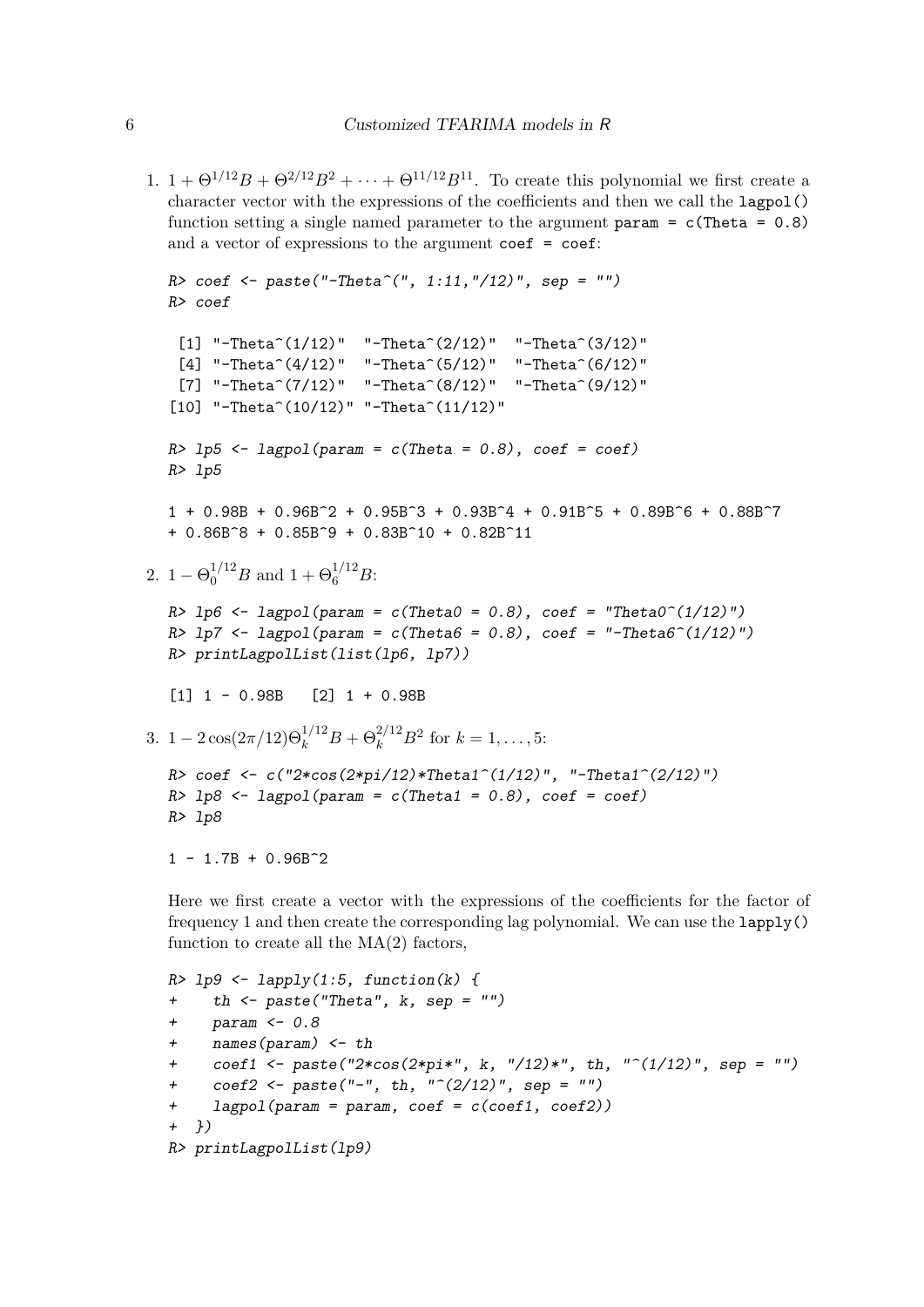1.  $1 + \Theta^{1/12}B + \Theta^{2/12}B^2 + \cdots + \Theta^{11/12}B^{11}$ . To create this polynomial we first create a character vector with the expressions of the coefficients and then we call the lagpol() function setting a single named parameter to the argument param =  $c$ (Theta = 0.8) and a vector of expressions to the argument coef = coef:

```
R> coef <- paste("-Theta^(", 1:11,"/12)", sep = "")
  R> coef
    [1] "-Theta<sup>\hat{}</sup>(1/12)" "-Theta<sup>\hat{}</sup>(2/12)" "-Theta<sup>\hat{}</sup>(3/12)"
    [4] "-Theta<sup>\hat{}</sup>(4/12)" "-Theta\hat{}(5/12)" "-Theta\hat{}(6/12)"
    [7] "-Theta<sup>\hat{}</sup>(7/12)" "-Theta<sup>\hat{}</sup>(8/12)" "-Theta<sup>\hat{}</sup>(9/12)"
   [10] "-Theta<sup>\hat{}</sup>(10/12)" "-Theta<sup>\hat{}</sup>(11/12)"
  R> lp5 <- lagpol(param = c(Theta = 0.8), coef = coef)
  R> lp5
  1 + 0.98B + 0.96B^2 + 0.95B^3 + 0.93B^4 + 0.91B^5 + 0.89B^6 + 0.88B^7+ 0.86B^8 + 0.85B^9 + 0.83B^10 + 0.82B^11
2. 1 - \Theta_0^{1/12} B and 1 + \Theta_6^{1/12} B:
  R lp6 \leftarrow lagpol(param = c(Theta0 = 0.8), coef = "Theta0^(1/12)")
  R> lp7 <- lagpol(param = c(Theta6 = 0.8), coef = "-Theta6^(1/12)")
  R> printLagpolList(list(lp6, lp7))
   [1] 1 - 0.98B [2] 1 + 0.98B
3. 1 - 2\cos(2\pi/12)\Theta_k^{1/12}B + \Theta_k^{2/12}B^2 for k = 1, ..., 5:
  R> coef <- c("2*cos(2*pi/12)*Theta1^(1/12)", "-Theta1^(2/12)")
  R> lp8 <- lagpol(param = c(Theta1 = 0.8), coef = coef)
  R> lp8
  1 - 1.7B + 0.96B^2
```
Here we first create a vector with the expressions of the coefficients for the factor of frequency 1 and then create the corresponding lag polynomial. We can use the lapply() function to create all the  $MA(2)$  factors,

```
R> lp9 <- lapply(1:5, function(k) {
+ th <- paste("Theta", k, sep = "")
+ param <- 0.8
+ names(param) <- th
+ coef1 <- paste("2*cos(2*pi*", k, "/12)*", th, "^(1/12)", sep = "")
+ coef2 <- paste("-", th, "^(2/12)", sep = "")
+ lagpol(param = param, coef = c(coef1, coef2))
+ })
R> printLagpolList(lp9)
```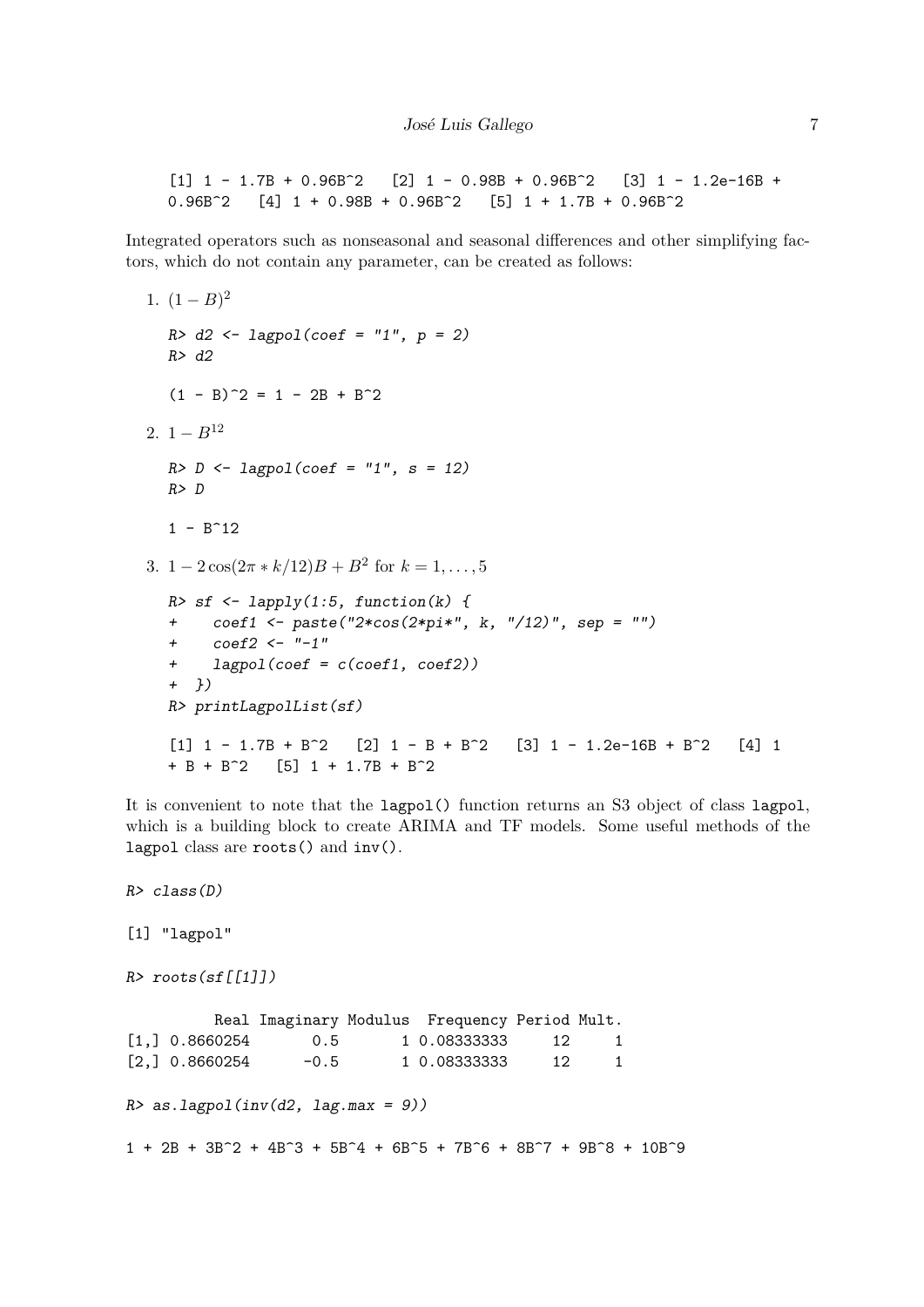$[1]$  1 - 1.7B + 0.96B<sup> $\sim$ </sup> 2  $[2]$  1 - 0.98B + 0.96B $\sim$  [3] 1 - 1.2e-16B +  $0.96B^2$  [4]  $1 + 0.98B + 0.96B^2$  [5]  $1 + 1.7B + 0.96B^2$ 

Integrated operators such as nonseasonal and seasonal differences and other simplifying factors, which do not contain any parameter, can be created as follows:

```
1. (1-B)^2R> d2 <- lagpol(coef = "1", p = 2)
  R> d2
  (1 - B)^2 = 1 - 2B + B^22. 1 - B^{12}R> D <- lagpol(coef = "1", s = 12)
  R> D
  1 - B^123. 1 - 2\cos(2\pi * k/12)B + B^2 for k = 1, ..., 5R> sf <- lapply(1:5, function(k) {
  + coef1 <- paste("2*cos(2*pi*", k, "/12)", sep = "")
  + coef2 <- "-1"
  + lagpol(coef = c(coef1, coef2))
  + })
  R> printLagpolList(sf)
  [1] 1 - 1.7B + B^2 [2] 1 - B + B^2 [3] 1 - 1.2e-16B + B^2 [4] 1
  + B + B^2 [5] 1 + 1.7B + B^2
```
It is convenient to note that the lagpol() function returns an S3 object of class lagpol, which is a building block to create ARIMA and TF models. Some useful methods of the lagpol class are roots() and inv().

```
R> class(D)
[1] "lagpol"
R> roots(sf[[1]])
        Real Imaginary Modulus Frequency Period Mult.
[1,] 0.8660254 0.5 1 0.08333333 12 1
[2,] 0.8660254 -0.5 1 0.08333333 12 1
R> as.lagpol(inv(d2, lag.max = 9))
1 + 2B + 3B^2 + 4B^3 + 5B^4 + 6B^5 + 7B^6 + 8B^7 + 9B^8 + 10B^9
```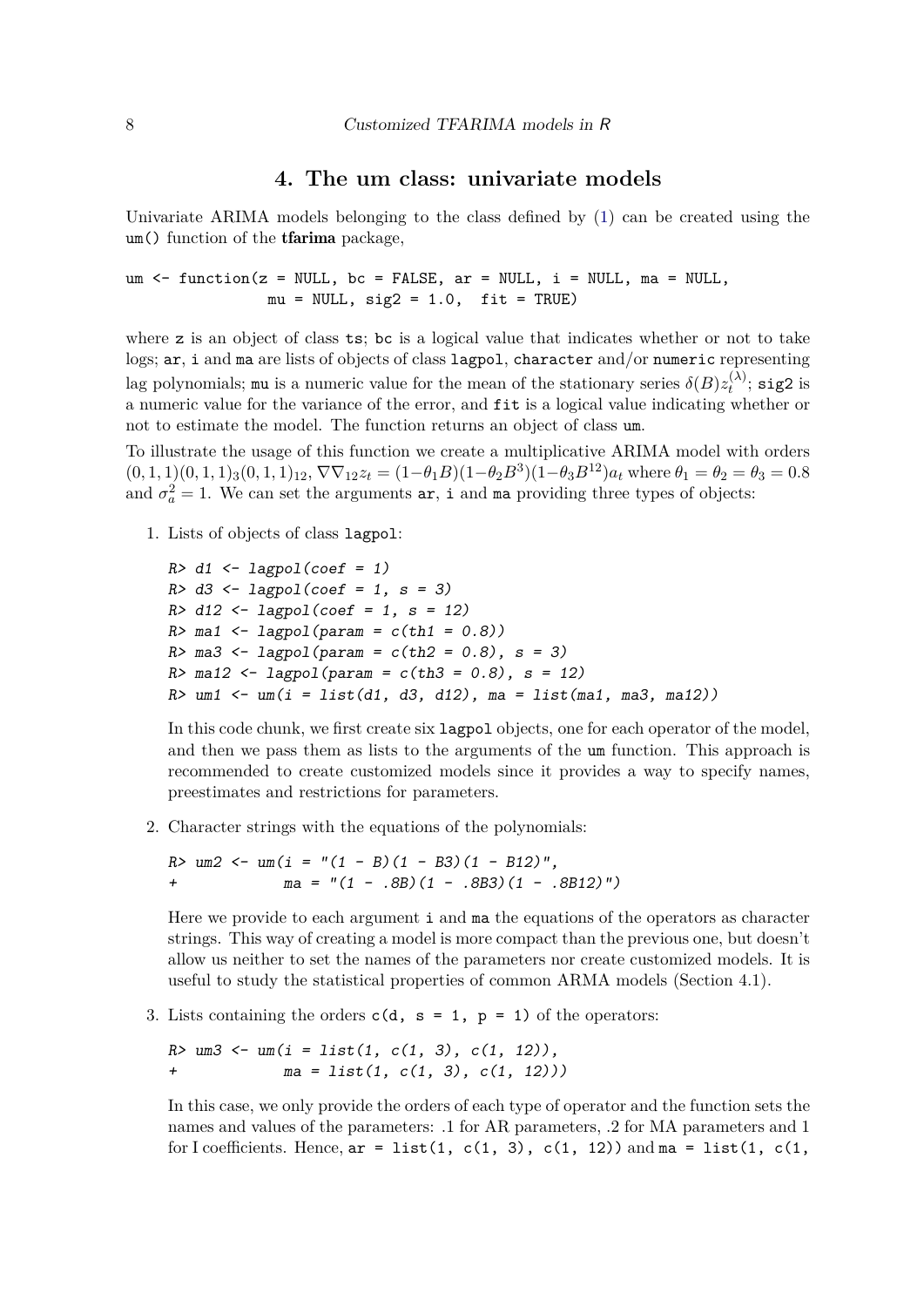## **4. The um class: univariate models**

Univariate ARIMA models belonging to the class defined by (1) can be created using the um() function of the tfarima package,

um  $\le$  function(z = NULL, bc = FALSE, ar = NULL, i = NULL, ma = NULL,  $mu = NULL, sig2 = 1.0, fit = TRUE)$ 

where z is an object of class ts; bc is a logical value that indicates whether or not to take logs; ar, i and ma are lists of objects of class lagpol, character and/or numeric representing lag polynomials; mu is a numeric value for the mean of the stationary series  $\delta(B)z_t^{(\lambda)}$  $t^{(\lambda)}$ ; sig2 is a numeric value for the variance of the error, and fit is a logical value indicating whether or not to estimate the model. The function returns an object of class um.

To illustrate the usage of this function we create a multiplicative ARIMA model with orders  $(0,1,1)(0,1,1)_3(0,1,1)_{12}, \nabla\nabla_{12}z_t = (1-\theta_1B)(1-\theta_2B^3)(1-\theta_3B^{12})a_t$  where  $\theta_1 = \theta_2 = \theta_3 = 0.8$ and  $\sigma_a^2 = 1$ . We can set the arguments  $ar$ , i and ma providing three types of objects:

1. Lists of objects of class lagpol:

```
R> d1 <- lagpol(coef = 1)
R> d3 <- lagpol(coef = 1, s = 3)
R> d12 <- lagpol(coef = 1, s = 12)
R> ma1 <- lagpol(param = c(th1 = 0.8))
R> ma3 <- lagpol(param = c(th2 = 0.8), s = 3)
R> ma12 <- lagpol(param = c(th3 = 0.8), s = 12)
R> um1 <- um(i = list(d1, d3, d12), ma = list(ma1, ma3, ma12))
```
In this code chunk, we first create six lagpol objects, one for each operator of the model, and then we pass them as lists to the arguments of the um function. This approach is recommended to create customized models since it provides a way to specify names, preestimates and restrictions for parameters.

2. Character strings with the equations of the polynomials:

*R> um2 <- um(i = "(1 - B)(1 - B3)(1 - B12)", + ma = "(1 - .8B)(1 - .8B3)(1 - .8B12)")*

Here we provide to each argument i and ma the equations of the operators as character strings. This way of creating a model is more compact than the previous one, but doesn't allow us neither to set the names of the parameters nor create customized models. It is useful to study the statistical properties of common ARMA models (Section 4.1).

3. Lists containing the orders  $c(d, s = 1, p = 1)$  of the operators:

*R> um3 <- um(i = list(1, c(1, 3), c(1, 12)), + ma = list(1, c(1, 3), c(1, 12)))*

In this case, we only provide the orders of each type of operator and the function sets the names and values of the parameters: .1 for AR parameters, .2 for MA parameters and 1 for I coefficients. Hence,  $ar = list(1, c(1, 3), c(1, 12))$  and  $ma = list(1, c(1,$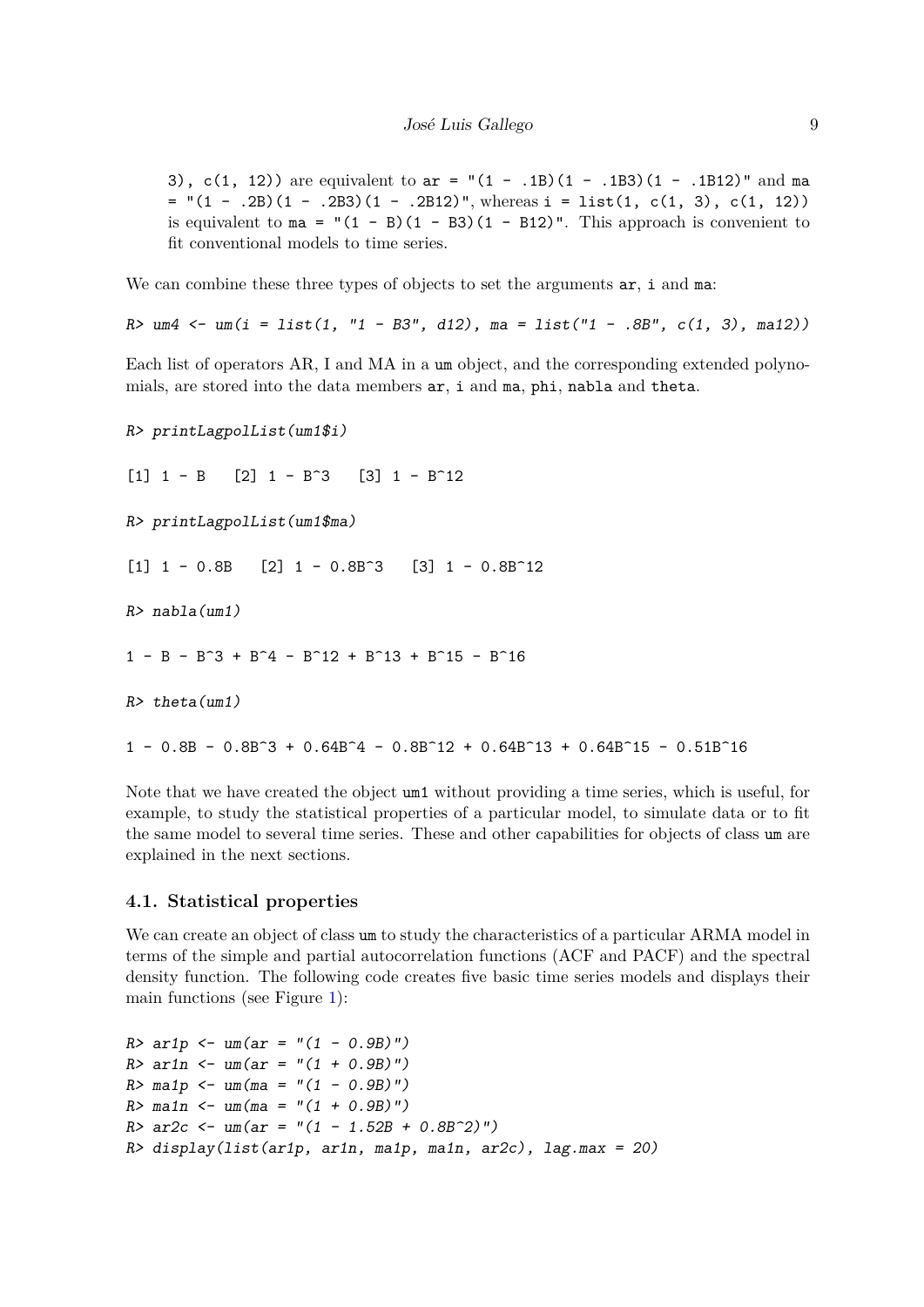3), c(1, 12)) are equivalent to  $ar = "(1 - .1B)(1 - .1B3)(1 - .1B12)"$  and ma  $=$  "(1 - .2B)(1 - .2B3)(1 - .2B12)", whereas i = list(1, c(1, 3), c(1, 12)) is equivalent to  $ma = " (1 - B) (1 - B3) (1 - B12)$ . This approach is convenient to fit conventional models to time series.

We can combine these three types of objects to set the arguments  $ar$ , i and ma:

*R> um4 <- um(i = list(1, "1 - B3", d12), ma = list("1 - .8B", c(1, 3), ma12))*

Each list of operators AR, I and MA in a um object, and the corresponding extended polynomials, are stored into the data members ar, i and ma, phi, nabla and theta.

```
R> printLagpolList(um1$i)
[1] 1 - B [2] 1 - B<sup>\sim</sup>3 [3] 1 - B\sim12
R> printLagpolList(um1$ma)
[1] 1 - 0.8B [2] 1 - 0.8B<sup>\sim</sup>3 [3] 1 - 0.8B\sim12
R> nabla(um1)
1 - B - B^3 + B^4 - B^12 + B^13 + B^15 - B^16R> theta(um1)
1 - 0.8B - 0.8B^3 + 0.64B^4 - 0.8B^12 + 0.64B^13 + 0.64B^15 - 0.51B^16
```
Note that we have created the object um1 without providing a time series, which is useful, for example, to study the statistical properties of a particular model, to simulate data or to fit the same model to several time series. These and other capabilities for objects of class um are explained in the next sections.

#### **4.1. Statistical properties**

We can create an object of class um to study the characteristics of a particular ARMA model in terms of the simple and partial autocorrelation functions (ACF and PACF) and the spectral density function. The following code creates five basic time series models and displays their main functions (see Figure 1):

```
R> ar1p <- um(ar = "(1 - 0.9B)")
R> ar1n <- um(ar = "(1 + 0.9B)")
R> ma1p <- um(ma = "(1 - 0.9B)")
R> ma1n <- um(ma = "(1 + 0.9B)")
R> ar2c <- um(ar = "(1 - 1.52B + 0.8B^2)")
R> display(list(ar1p, ar1n, ma1p, ma1n, ar2c), lag.max = 20)
```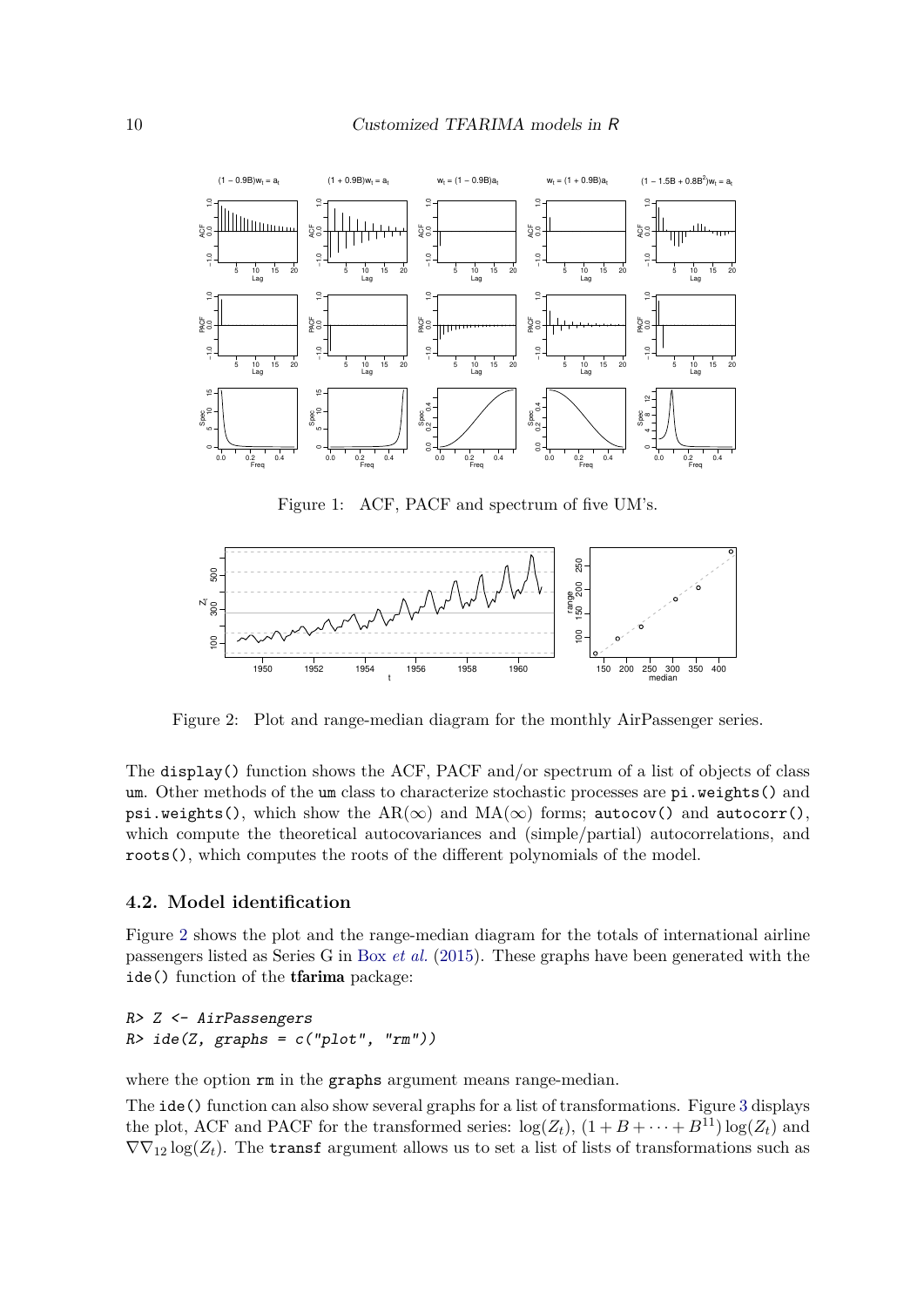

Figure 1: ACF, PACF and spectrum of five UM's.



Figure 2: Plot and range-median diagram for the monthly AirPassenger series.

The display() function shows the ACF, PACF and/or spectrum of a list of objects of class um. Other methods of the um class to characterize stochastic processes are pi.weights() and psi.weights(), which show the AR( $\infty$ ) and MA( $\infty$ ) forms; autocov() and autocorr(), which compute the theoretical autocovariances and (simple/partial) autocorrelations, and roots(), which computes the roots of the different polynomials of the model.

#### **4.2. Model identification**

Figure 2 shows the plot and the range-median diagram for the totals of international airline passengers listed as Series G in Box *et al.* (2015). These graphs have been generated with the ide() function of the tfarima package:

```
R> Z <- AirPassengers
R> ide(Z, graphs = c("plot", "rm"))
```
where the option  $rm$  in the graphs argument means range-median.

The ide() function can also show several graphs for a list of transformations. Figure 3 displays the plot, ACF and PACF for the transformed series:  $\log(Z_t)$ ,  $(1 + B + \cdots + B^{11}) \log(Z_t)$  and  $\nabla\nabla_{12} \log(Z_t)$ . The transf argument allows us to set a list of lists of transformations such as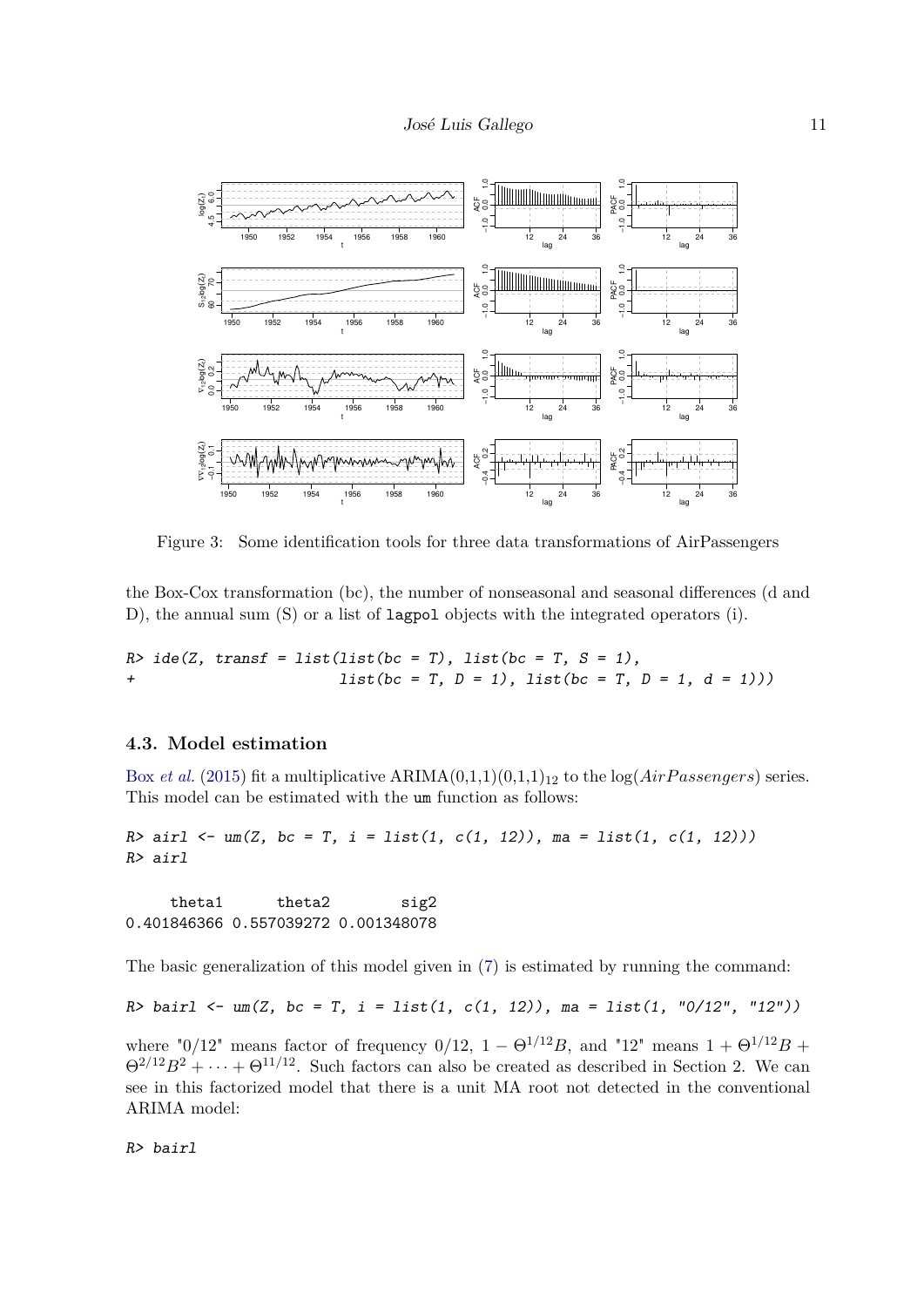

Figure 3: Some identification tools for three data transformations of AirPassengers

the Box-Cox transformation (bc), the number of nonseasonal and seasonal differences (d and D), the annual sum (S) or a list of lagpol objects with the integrated operators (i).

*R> ide(Z, transf = list(list(bc = T), list(bc = T, S = 1), + list(bc = T, D = 1), list(bc = T, D = 1, d = 1)))*

### **4.3. Model estimation**

Box *et al.* (2015) fit a multiplicative  $ARIMA(0,1,1)(0,1,1)_{12}$  to the  $log(AirPassengers)$  series. This model can be estimated with the um function as follows:

*R> airl <- um(Z, bc = T, i = list(1, c(1, 12)), ma = list(1, c(1, 12))) R> airl*

theta1 theta2 sig2 0.401846366 0.557039272 0.001348078

The basic generalization of this model given in (7) is estimated by running the command:

*R> bairl <- um(Z, bc = T, i = list(1, c(1, 12)), ma = list(1, "0/12", "12"))*

where "0/12" means factor of frequency 0/12,  $1 - \Theta^{1/12}B$ , and "12" means  $1 + \Theta^{1/12}B$  +  $\Theta^{2/12}B^2 + \cdots + \Theta^{11/12}$ . Such factors can also be created as described in Section 2. We can see in this factorized model that there is a unit MA root not detected in the conventional ARIMA model:

*R> bairl*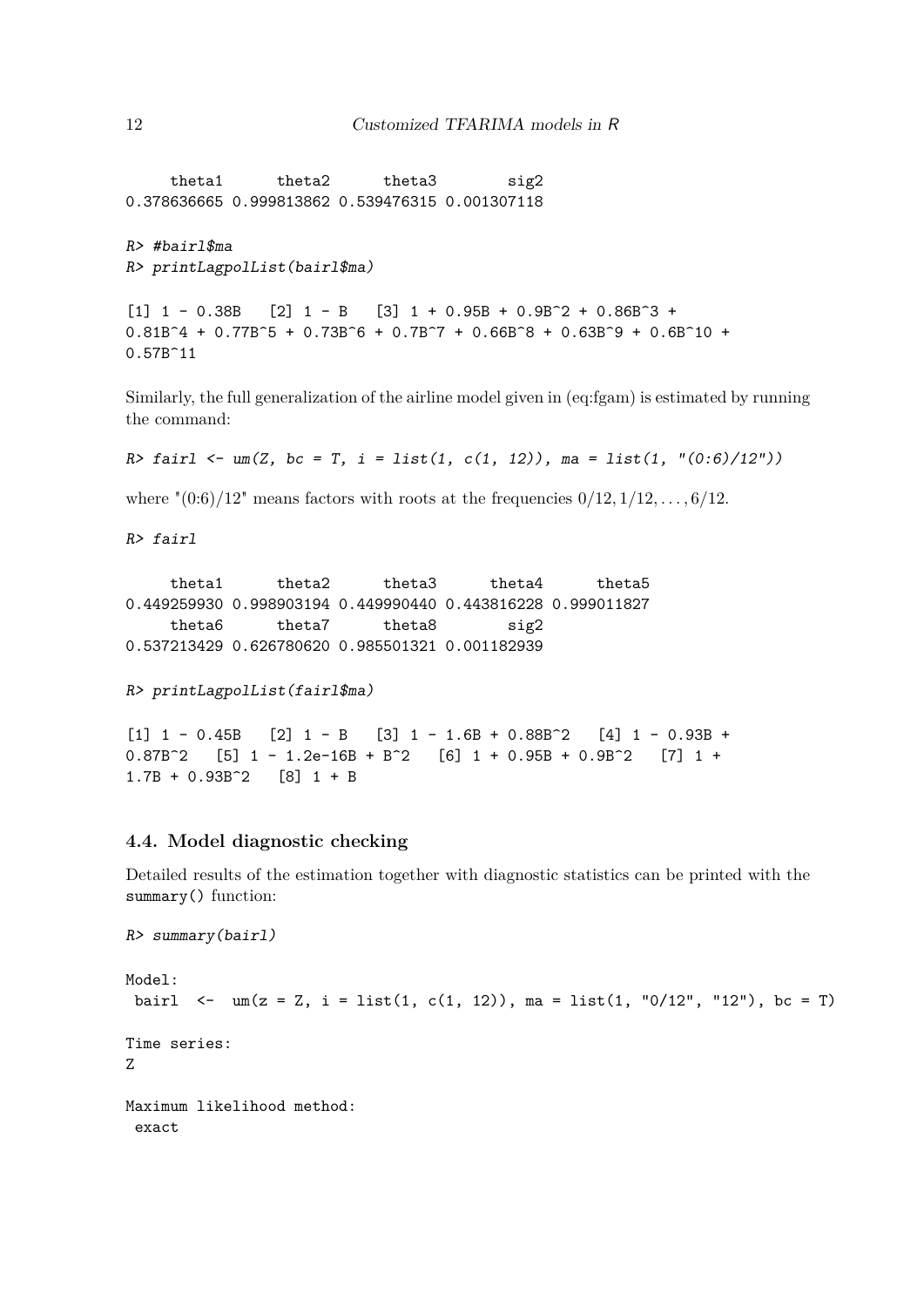theta1 theta2 theta3 sig2 0.378636665 0.999813862 0.539476315 0.001307118

```
R> #bairl$ma
R> printLagpolList(bairl$ma)
```
 $[1]$  1 - 0.38B  $[2]$  1 - B  $[3]$  1 + 0.95B + 0.9B<sup> $\sim$ </sup> 2 + 0.86B $\sim$ 3 +  $0.81B^4 + 0.77B^5 + 0.73B^6 + 0.7B^7 + 0.66B^8 + 0.63B^9 + 0.6B^10 +$ 0.57B^11

Similarly, the full generalization of the airline model given in (eq:fgam) is estimated by running the command:

```
R> fairl <- um(Z, bc = T, i = list(1, c(1, 12)), ma = list(1, "(0:6)/12"))
```
where " $(0.6)/12$ " means factors with roots at the frequencies  $0/12, 1/12, \ldots, 6/12$ .

*R> fairl*

theta1 theta2 theta3 theta4 theta5 0.449259930 0.998903194 0.449990440 0.443816228 0.999011827 theta6 theta7 theta8 sig2 0.537213429 0.626780620 0.985501321 0.001182939

```
R> printLagpolList(fairl$ma)
```

```
[1] 1 - 0.45B [2] 1 - B [3] 1 - 1.6B + 0.88B^2 [4] 1 - 0.93B +
0.87B^2 [5] 1 - 1.2e-16B + B^2 [6] 1 + 0.95B + 0.9B^2 [7] 1 +1.7B + 0.93B^2 [8] 1 + B
```
## **4.4. Model diagnostic checking**

*R> summary(bairl)*

Detailed results of the estimation together with diagnostic statistics can be printed with the summary() function:

```
Model:
bairl \leq - um(z = Z, i = list(1, c(1, 12)), ma = list(1, "0/12", "12"), bc = T)
Time series:
Z
Maximum likelihood method:
 exact
```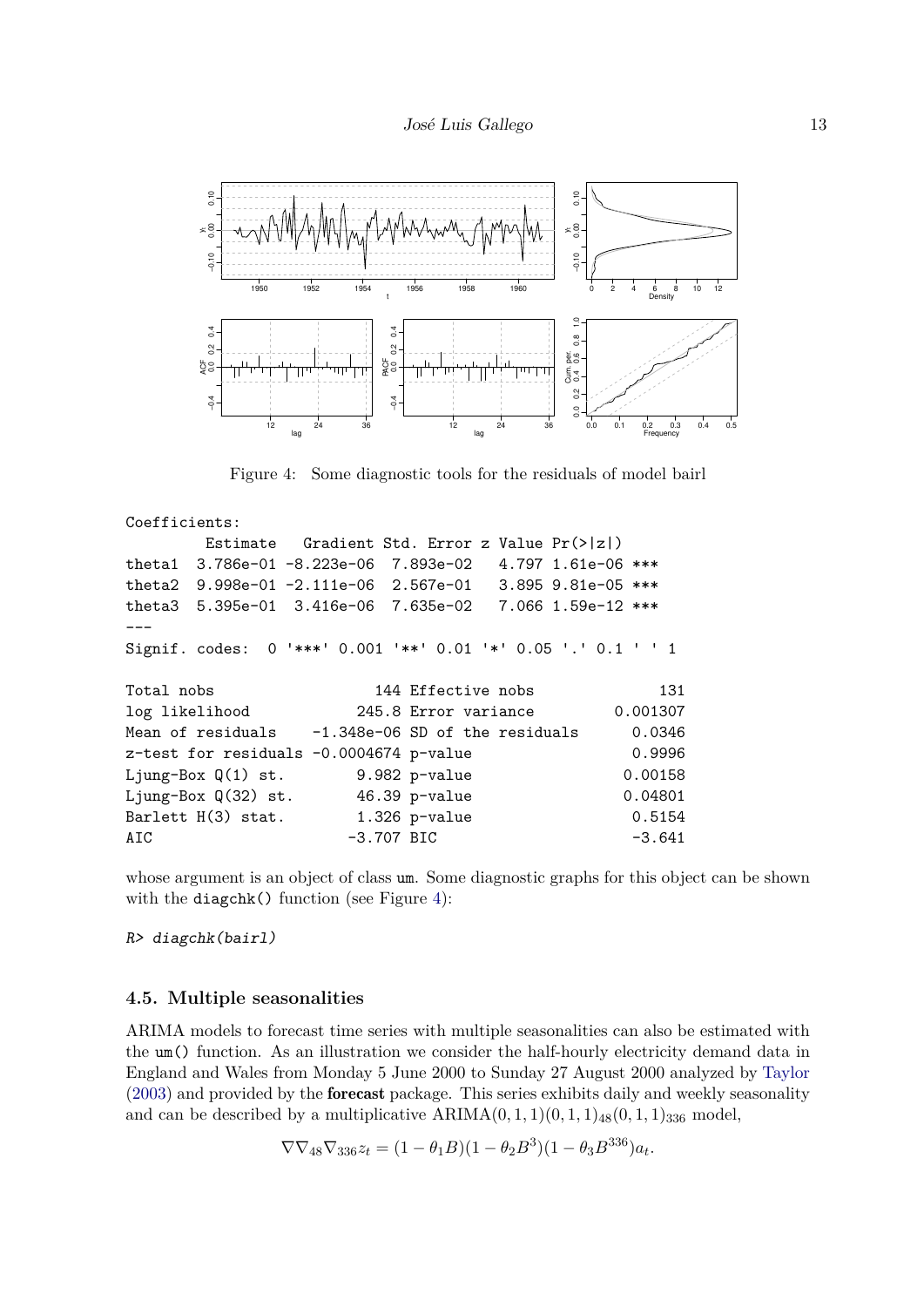

Figure 4: Some diagnostic tools for the residuals of model bairl

Coefficients: Estimate Gradient Std. Error z Value Pr(>|z|) theta1 3.786e-01 -8.223e-06 7.893e-02 4.797 1.61e-06 \*\*\* theta2 9.998e-01 -2.111e-06 2.567e-01 3.895 9.81e-05 \*\*\* theta3 5.395e-01 3.416e-06 7.635e-02 7.066 1.59e-12 \*\*\* --- Signif. codes: 0 '\*\*\*' 0.001 '\*\*' 0.01 '\*' 0.05 '.' 0.1 ' ' 1 Total nobs 3144 Effective nobs 131 log likelihood 245.8 Error variance 0.001307 Mean of residuals -1.348e-06 SD of the residuals 0.0346  $z$ -test for residuals  $-0.0004674$  p-value  $0.9996$ Ljung-Box Q(1) st. 9.982 p-value 0.00158 Ljung-Box Q(32) st. 46.39 p-value 0.04801 Barlett H(3) stat. 1.326 p-value 0.5154 AIC -3.707 BIC -3.641

whose argument is an object of class um. Some diagnostic graphs for this object can be shown with the diagchk() function (see Figure 4):

*R> diagchk(bairl)*

#### **4.5. Multiple seasonalities**

ARIMA models to forecast time series with multiple seasonalities can also be estimated with the um() function. As an illustration we consider the half-hourly electricity demand data in England and Wales from Monday 5 June 2000 to Sunday 27 August 2000 analyzed by Taylor (2003) and provided by the forecast package. This series exhibits daily and weekly seasonality and can be described by a multiplicative  $ARIMA(0,1,1)(0,1,1)_{48}(0,1,1)_{336}$  model,

$$
\nabla \nabla_{48} \nabla_{336} z_t = (1 - \theta_1 B)(1 - \theta_2 B^3)(1 - \theta_3 B^{336}) a_t.
$$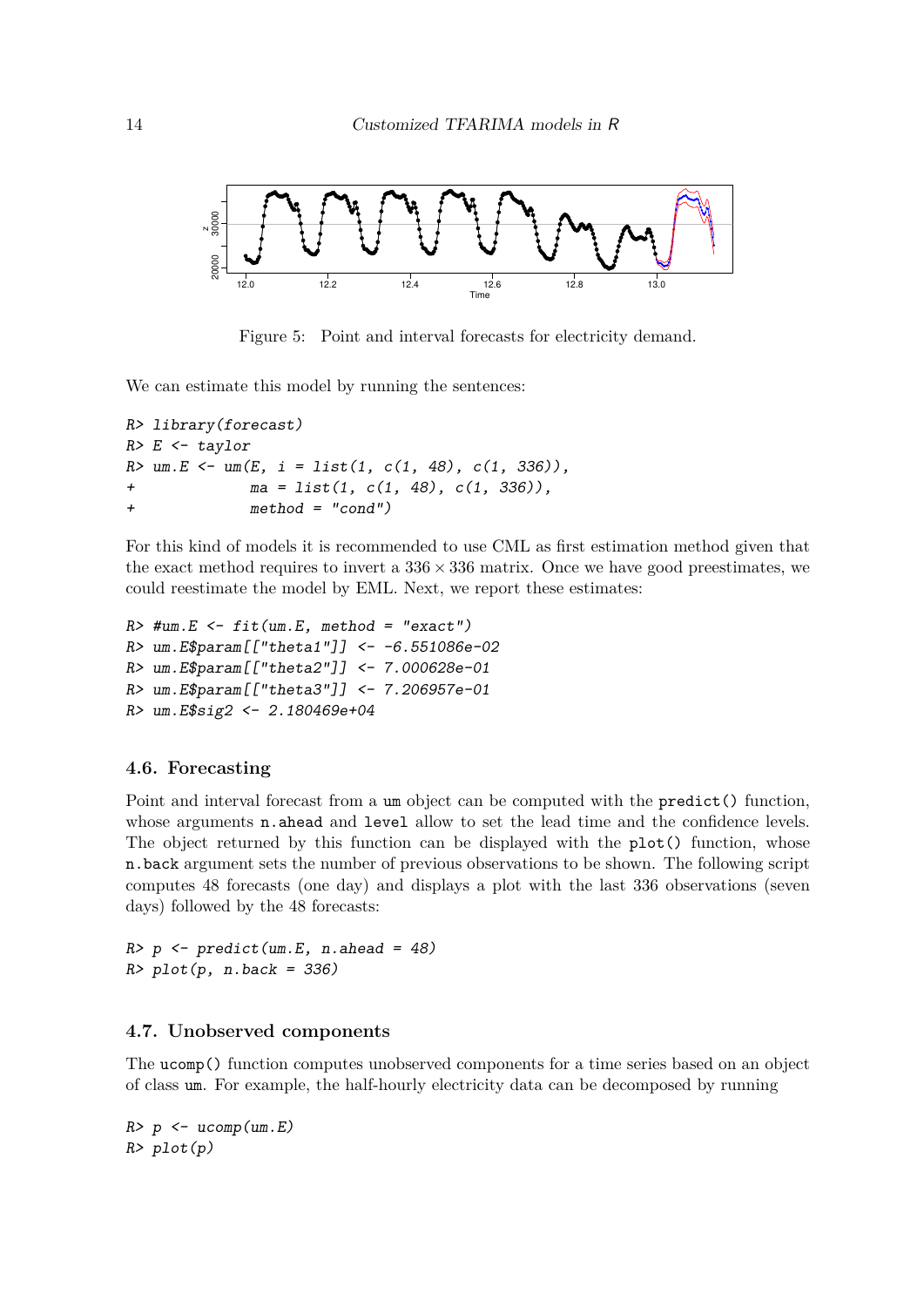

Figure 5: Point and interval forecasts for electricity demand.

We can estimate this model by running the sentences:

```
R> library(forecast)
R> E <- taylor
R> um.E <- um(E, i = list(1, c(1, 48), c(1, 336)),
+ ma = list(1, c(1, 48), c(1, 336)),
+ method = "cond")
```
For this kind of models it is recommended to use CML as first estimation method given that the exact method requires to invert a  $336 \times 336$  matrix. Once we have good preestimates, we could reestimate the model by EML. Next, we report these estimates:

```
R> #um.E <- fit(um.E, method = "exact")
R> um.E$param[["theta1"]] <- -6.551086e-02
R> um.E$param[["theta2"]] <- 7.000628e-01
R> um.E$param[["theta3"]] <- 7.206957e-01
R> um.E$sig2 <- 2.180469e+04
```
#### **4.6. Forecasting**

Point and interval forecast from a um object can be computed with the predict() function, whose arguments **n**.ahead and level allow to set the lead time and the confidence levels. The object returned by this function can be displayed with the plot() function, whose n.back argument sets the number of previous observations to be shown. The following script computes 48 forecasts (one day) and displays a plot with the last 336 observations (seven days) followed by the 48 forecasts:

*R> p <- predict(um.E, n.ahead = 48) R> plot(p, n.back = 336)*

#### **4.7. Unobserved components**

The ucomp() function computes unobserved components for a time series based on an object of class um. For example, the half-hourly electricity data can be decomposed by running

*R> p <- ucomp(um.E) R> plot(p)*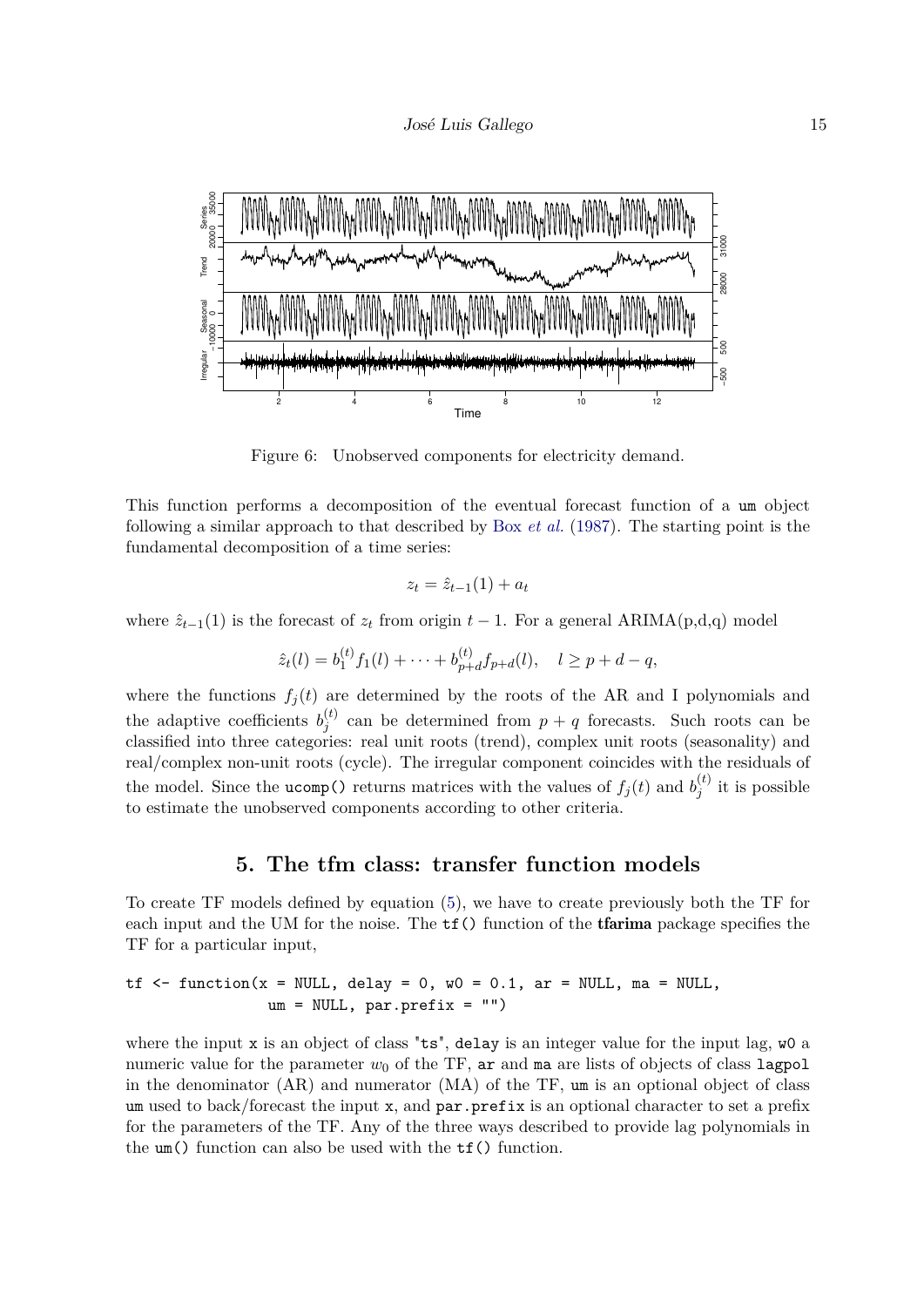

Figure 6: Unobserved components for electricity demand.

This function performs a decomposition of the eventual forecast function of a um object following a similar approach to that described by Box *et al.* (1987). The starting point is the fundamental decomposition of a time series:

$$
z_t = \hat{z}_{t-1}(1) + a_t
$$

where  $\hat{z}_{t-1}(1)$  is the forecast of  $z_t$  from origin  $t-1$ . For a general ARIMA(p,d,q) model

$$
\hat{z}_t(l) = b_1^{(t)} f_1(l) + \dots + b_{p+d}^{(t)} f_{p+d}(l), \quad l \ge p+d-q,
$$

where the functions  $f_j(t)$  are determined by the roots of the AR and I polynomials and the adaptive coefficients  $b_j^{(t)}$  $j_j^{(t)}$  can be determined from  $p + q$  forecasts. Such roots can be classified into three categories: real unit roots (trend), complex unit roots (seasonality) and real/complex non-unit roots (cycle). The irregular component coincides with the residuals of the model. Since the **ucomp**() returns matrices with the values of  $f_j(t)$  and  $b_j^{(t)}$  $j_j^{(\iota)}$  it is possible to estimate the unobserved components according to other criteria.

## **5. The tfm class: transfer function models**

To create TF models defined by equation (5), we have to create previously both the TF for each input and the UM for the noise. The  $tf()$  function of the tfarima package specifies the TF for a particular input,

$$
\text{tf} \leq f \quad \text{function}(x = \text{NULL}, \text{ delay} = 0, \text{ w0} = 0.1, \text{ ar} = \text{NULL}, \text{ ma} = \text{NULL}, \text{ um} = \text{NULL}, \text{ par}.\text{prefix} = \text{""})
$$

where the input  $x$  is an object of class "ts", delay is an integer value for the input lag,  $\psi$ 0 a numeric value for the parameter  $w_0$  of the TF, ar and ma are lists of objects of class lagpol in the denominator  $(AR)$  and numerator  $(MA)$  of the TF, um is an optional object of class um used to back/forecast the input x, and par.prefix is an optional character to set a prefix for the parameters of the TF. Any of the three ways described to provide lag polynomials in the um() function can also be used with the tf() function.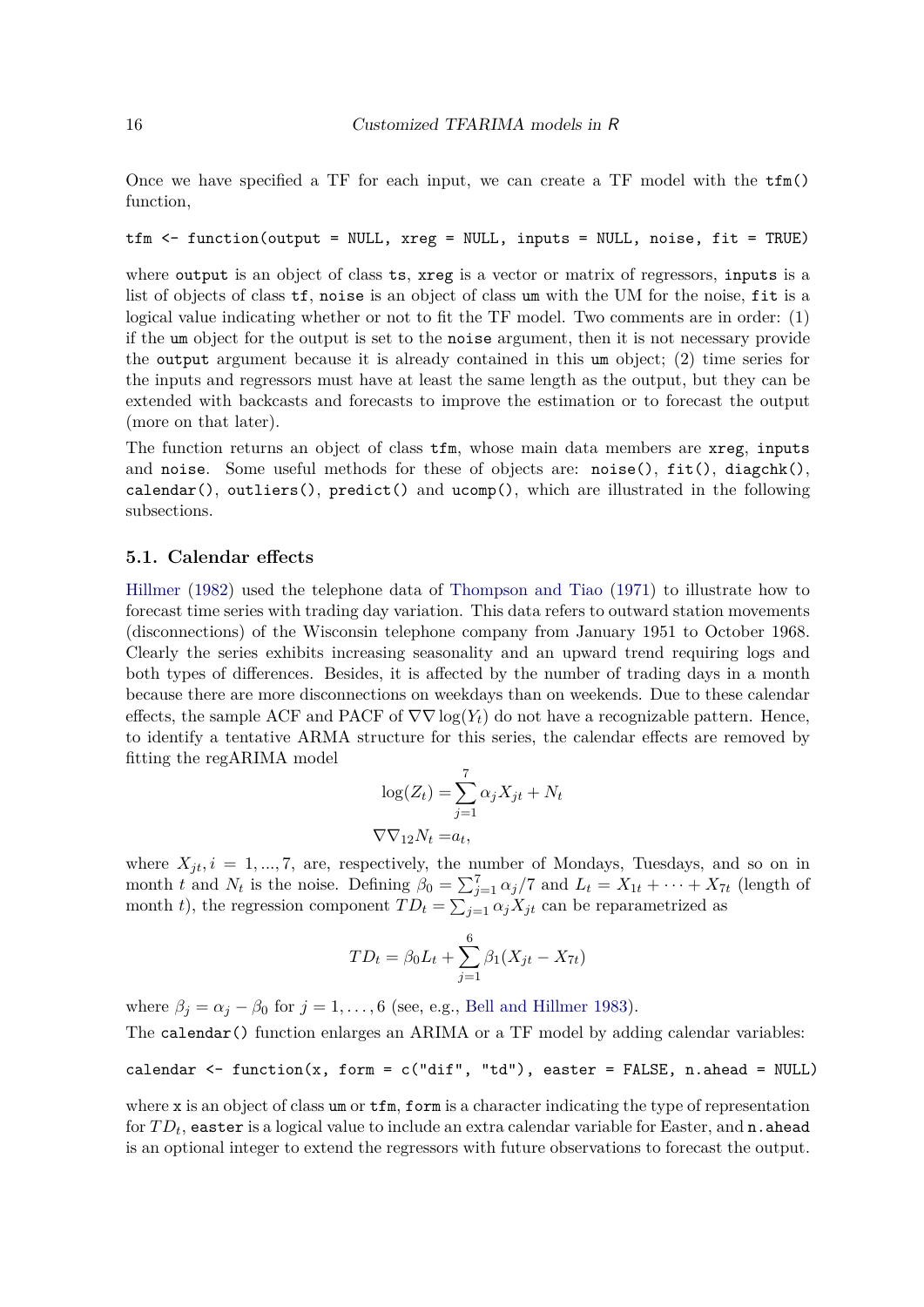Once we have specified a TF for each input, we can create a TF model with the  $\text{tfm}()$ function,

#### tfm <- function(output = NULL, xreg = NULL, inputs = NULL, noise, fit = TRUE)

where output is an object of class ts, xreg is a vector or matrix of regressors, inputs is a list of objects of class tf, noise is an object of class um with the UM for the noise, fit is a logical value indicating whether or not to fit the TF model. Two comments are in order: (1) if the um object for the output is set to the noise argument, then it is not necessary provide the output argument because it is already contained in this um object; (2) time series for the inputs and regressors must have at least the same length as the output, but they can be extended with backcasts and forecasts to improve the estimation or to forecast the output (more on that later).

The function returns an object of class tfm, whose main data members are xreg, inputs and noise. Some useful methods for these of objects are: noise(),  $fit()$ , diagchk(), calendar(), outliers(), predict() and ucomp(), which are illustrated in the following subsections.

#### **5.1. Calendar effects**

Hillmer (1982) used the telephone data of Thompson and Tiao (1971) to illustrate how to forecast time series with trading day variation. This data refers to outward station movements (disconnections) of the Wisconsin telephone company from January 1951 to October 1968. Clearly the series exhibits increasing seasonality and an upward trend requiring logs and both types of differences. Besides, it is affected by the number of trading days in a month because there are more disconnections on weekdays than on weekends. Due to these calendar effects, the sample ACF and PACF of  $\nabla \nabla \log(Y_t)$  do not have a recognizable pattern. Hence, to identify a tentative ARMA structure for this series, the calendar effects are removed by fitting the regARIMA model

$$
\log(Z_t) = \sum_{j=1}^{7} \alpha_j X_{jt} + N_t
$$
  

$$
\nabla \nabla_{12} N_t = a_t,
$$

where  $X_{jt}$ ,  $i = 1, ..., 7$ , are, respectively, the number of Mondays, Tuesdays, and so on in month *t* and  $N_t$  is the noise. Defining  $\beta_0 = \sum_{j=1}^7 \alpha_j/7$  and  $L_t = X_{1t} + \cdots + X_{7t}$  (length of month *t*), the regression component  $TD_t = \sum_{j=1} \alpha_j X_{jt}$  can be reparametrized as

$$
TD_t = \beta_0 L_t + \sum_{j=1}^{6} \beta_1 (X_{jt} - X_{7t})
$$

where  $\beta_j = \alpha_j - \beta_0$  for  $j = 1, \ldots, 6$  (see, e.g., Bell and Hillmer 1983).

The calendar() function enlarges an ARIMA or a TF model by adding calendar variables:

#### calendar  $\leq$  function(x, form = c("dif", "td"), easter = FALSE, n.ahead = NULL)

where x is an object of class um or  $\text{tfm}$ , form is a character indicating the type of representation for  $TD_t$ , easter is a logical value to include an extra calendar variable for Easter, and  $\mathtt{n}$  . ahead is an optional integer to extend the regressors with future observations to forecast the output.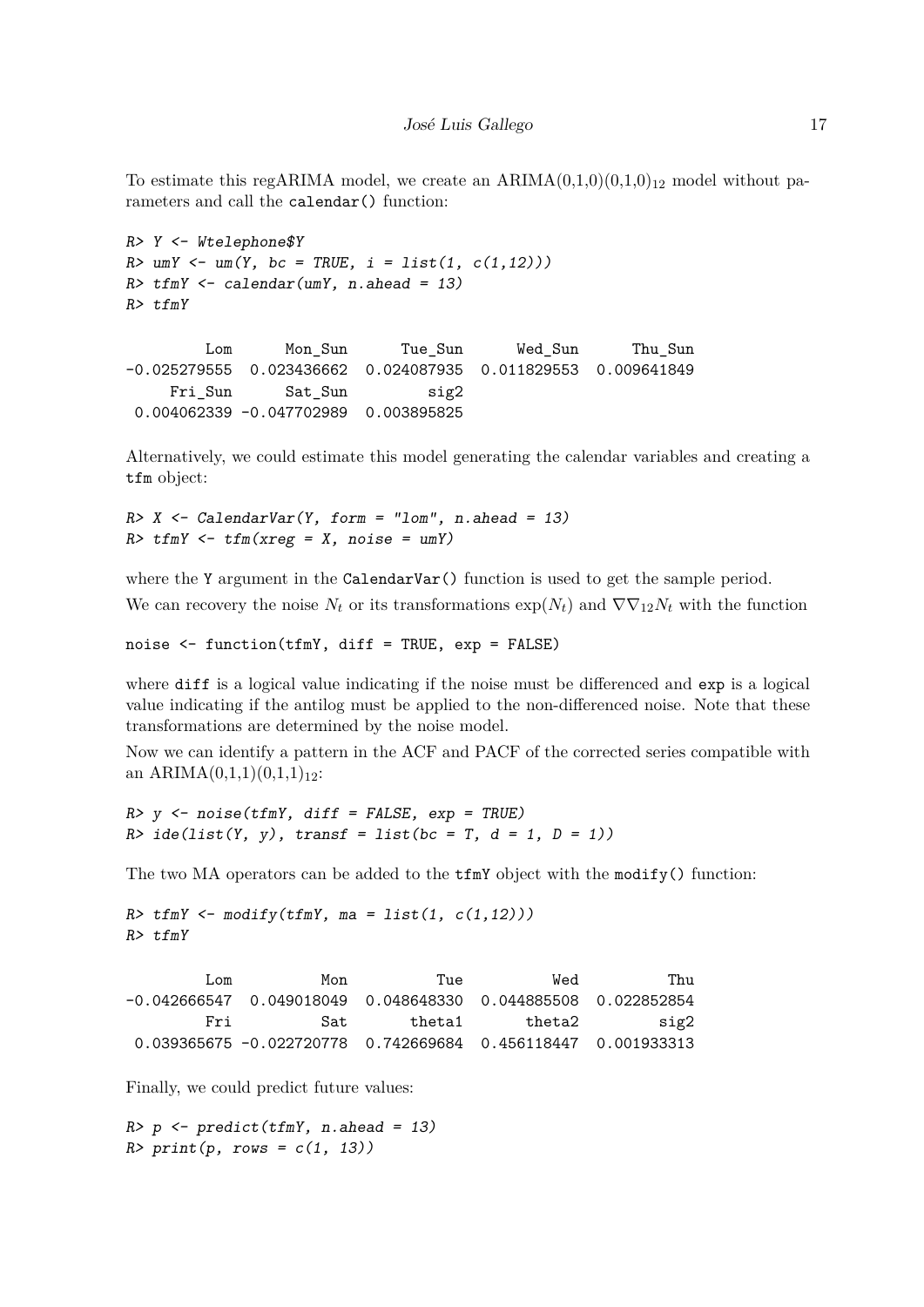To estimate this regARIMA model, we create an  $ARIMA(0,1,0)(0,1,0)_{12}$  model without parameters and call the calendar() function:

```
R> Y <- Wtelephone$Y
R> umY <- um(Y, bc = TRUE, i = list(1, c(1,12)))
R> tfmY <- calendar(umY, n.ahead = 13)
R> tfmY
       Lom Mon_Sun Tue_Sun Wed_Sun Thu_Sun
-0.025279555 0.023436662 0.024087935 0.011829553 0.009641849
    Fri_Sun Sat_Sun sig2
0.004062339 -0.047702989 0.003895825
```
Alternatively, we could estimate this model generating the calendar variables and creating a tfm object:

```
R> X <- CalendarVar(Y, form = "lom", n.ahead = 13)
R> tfmY <- tfm(xreg = X, noise = umY)
```
where the Y argument in the CalendarVar() function is used to get the sample period. We can recovery the noise  $N_t$  or its transformations  $\exp(N_t)$  and  $\nabla \nabla_{12} N_t$  with the function

noise <- function(tfmY, diff = TRUE, exp = FALSE)

where diff is a logical value indicating if the noise must be differenced and exp is a logical value indicating if the antilog must be applied to the non-differenced noise. Note that these transformations are determined by the noise model.

Now we can identify a pattern in the ACF and PACF of the corrected series compatible with an ARIMA $(0,1,1)(0,1,1)_{12}$ :

```
R> y <- noise(tfmY, diff = FALSE, exp = TRUE)
R> ide(list(Y, y), transf = list(bc = T, d = 1, D = 1))
```
The two MA operators can be added to the  $\text{tfmY}$  object with the modify() function:

```
R> tfmY <- modify(tfmY, ma = list(1, c(1,12)))
R> tfmY
```

| Thu  | Wed    | Tue    | Mon                                                             | Lom |
|------|--------|--------|-----------------------------------------------------------------|-----|
|      |        |        | $-0.042666547$ 0.049018049 0.048648330 0.044885508 0.022852854  |     |
| sig2 | theta2 | theta1 | Sat.                                                            | Fri |
|      |        |        | $0.039365675 - 0.022720778$ 0.742669684 0.456118447 0.001933313 |     |

Finally, we could predict future values:

*R> p <- predict(tfmY, n.ahead = 13) R> print(p, rows = c(1, 13))*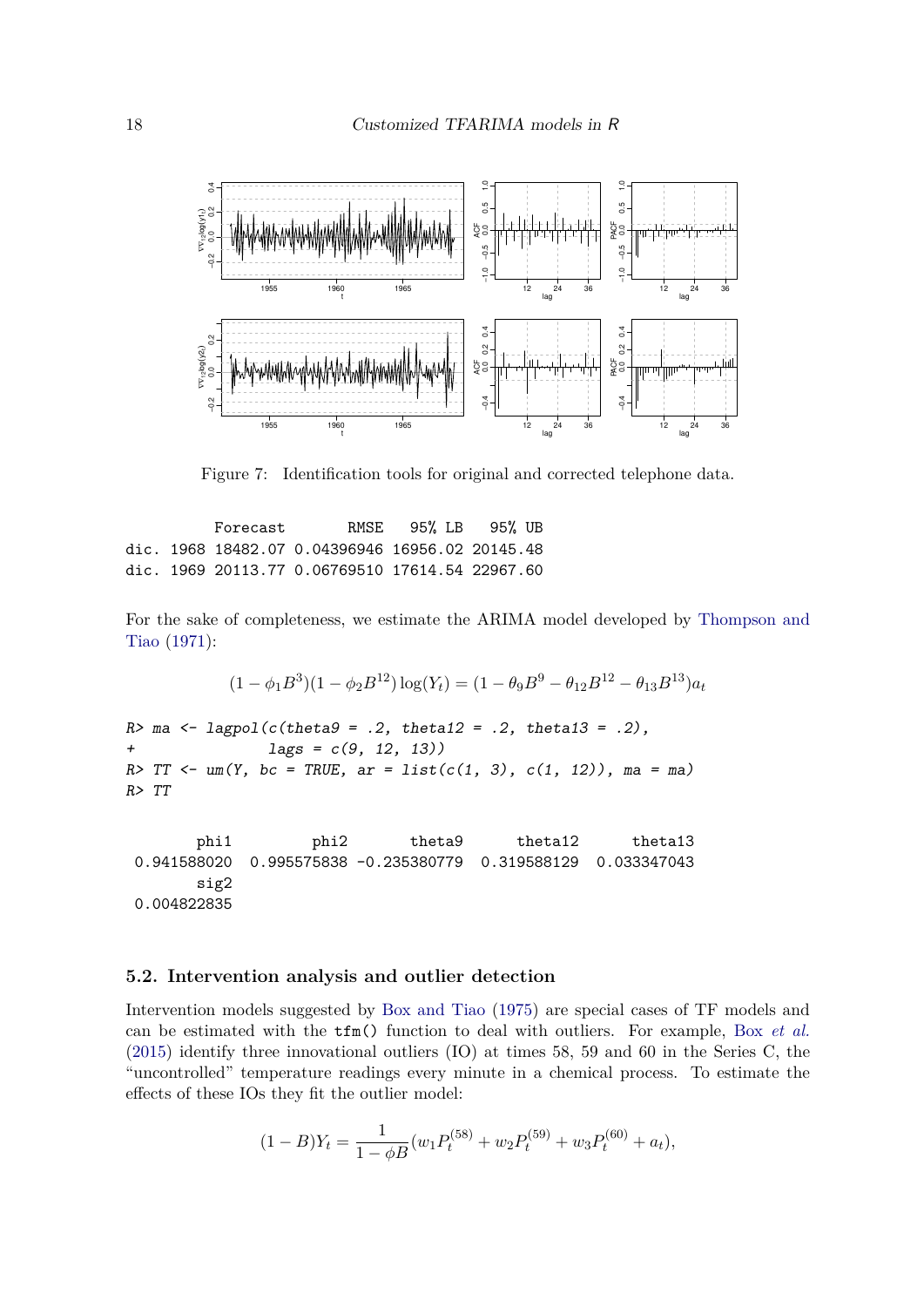

Figure 7: Identification tools for original and corrected telephone data.

Forecast RMSE 95% LB 95% UB dic. 1968 18482.07 0.04396946 16956.02 20145.48 dic. 1969 20113.77 0.06769510 17614.54 22967.60

For the sake of completeness, we estimate the ARIMA model developed by Thompson and Tiao (1971):

$$
(1 - \phi_1 B^3)(1 - \phi_2 B^{12}) \log(Y_t) = (1 - \theta_9 B^9 - \theta_{12} B^{12} - \theta_{13} B^{13}) a_t
$$

*R> ma <- lagpol(c(theta9 = .2, theta12 = .2, theta13 = .2), + lags = c(9, 12, 13)) R> TT <- um(Y, bc = TRUE, ar = list(c(1, 3), c(1, 12)), ma = ma) R> TT*

phi1 phi2 theta9 theta12 theta13 0.941588020 0.995575838 -0.235380779 0.319588129 0.033347043 sig2 0.004822835

#### **5.2. Intervention analysis and outlier detection**

Intervention models suggested by Box and Tiao (1975) are special cases of TF models and can be estimated with the tfm() function to deal with outliers. For example, Box *et al.* (2015) identify three innovational outliers (IO) at times 58, 59 and 60 in the Series C, the "uncontrolled" temperature readings every minute in a chemical process. To estimate the effects of these IOs they fit the outlier model:

$$
(1 - B)Y_t = \frac{1}{1 - \phi B}(w_1 P_t^{(58)} + w_2 P_t^{(59)} + w_3 P_t^{(60)} + a_t),
$$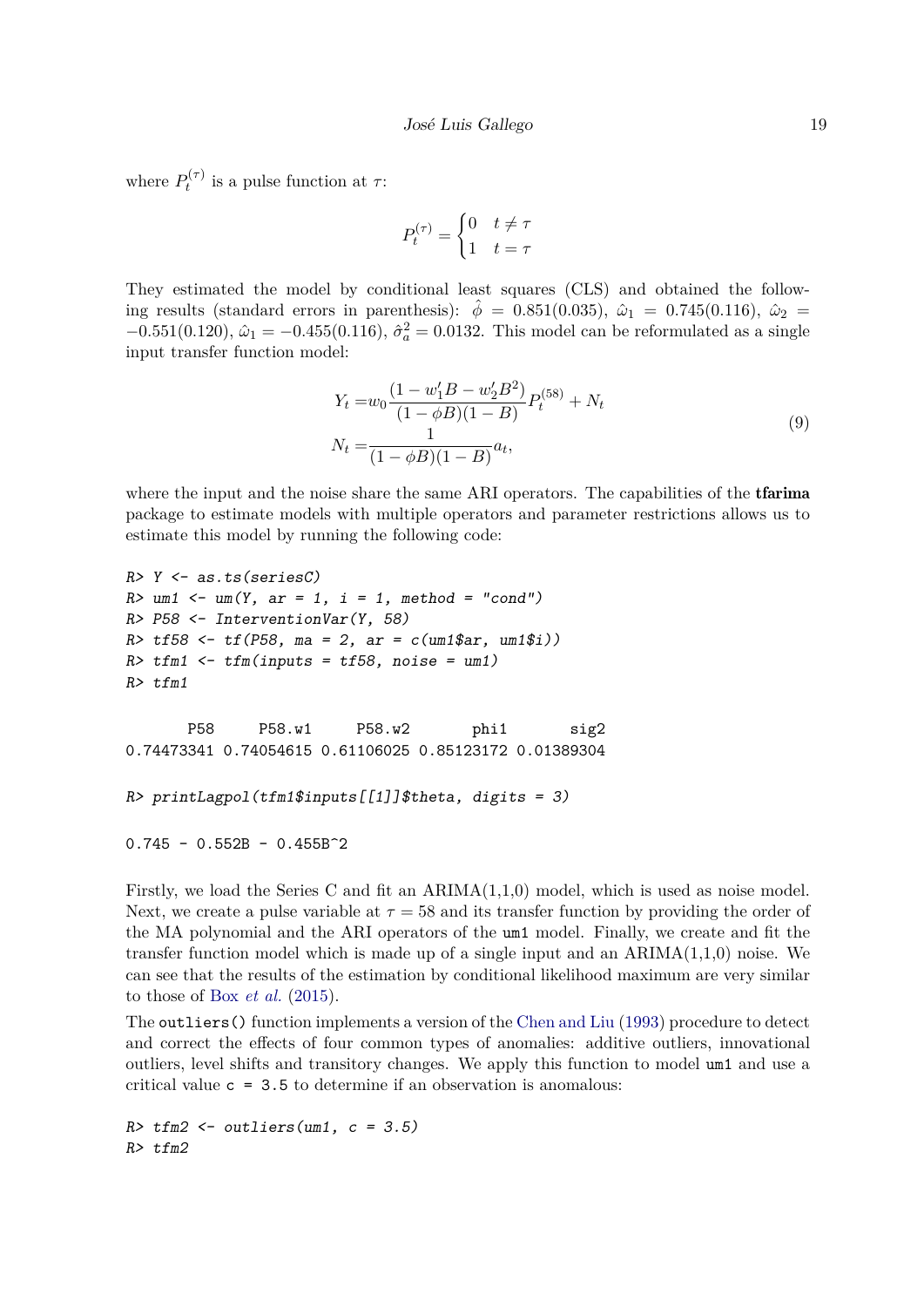where  $P_t^{(\tau)}$  $t^{(1)}$  is a pulse function at  $\tau$ :

$$
P_t^{(\tau)} = \begin{cases} 0 & t \neq \tau \\ 1 & t = \tau \end{cases}
$$

They estimated the model by conditional least squares (CLS) and obtained the following results (standard errors in parenthesis):  $\hat{\phi} = 0.851(0.035), \ \hat{\omega}_1 = 0.745(0.116), \ \hat{\omega}_2 =$  $-0.551(0.120)$ ,  $\hat{\omega}_1 = -0.455(0.116)$ ,  $\hat{\sigma}_a^2 = 0.0132$ . This model can be reformulated as a single input transfer function model:

$$
Y_t = w_0 \frac{(1 - w'_1 B - w'_2 B^2)}{(1 - \phi B)(1 - B)} P_t^{(58)} + N_t
$$
  

$$
N_t = \frac{1}{(1 - \phi B)(1 - B)} a_t,
$$
 (9)

where the input and the noise share the same ARI operators. The capabilities of the **tfarima** package to estimate models with multiple operators and parameter restrictions allows us to estimate this model by running the following code:

```
R> Y <- as.ts(seriesC)
R> um1 <- um(Y, ar = 1, i = 1, method = "cond")
R> P58 <- InterventionVar(Y, 58)
R> tf58 <- tf(P58, ma = 2, ar = c(um1$ar, um1$i))
R> tfm1 <- tfm(inputs = tf58, noise = um1)
R> tfm1
      P58 P58.w1 P58.w2 phi1 sig2
0.74473341 0.74054615 0.61106025 0.85123172 0.01389304
R> printLagpol(tfm1$inputs[[1]]$theta, digits = 3)
0.745 - 0.552B - 0.455B^2
```
Firstly, we load the Series C and fit an ARIMA(1,1,0) model, which is used as noise model. Next, we create a pulse variable at  $\tau = 58$  and its transfer function by providing the order of the MA polynomial and the ARI operators of the um1 model. Finally, we create and fit the transfer function model which is made up of a single input and an  $ARIMA(1,1,0)$  noise. We can see that the results of the estimation by conditional likelihood maximum are very similar to those of Box *et al.* (2015).

The outliers() function implements a version of the Chen and Liu (1993) procedure to detect and correct the effects of four common types of anomalies: additive outliers, innovational outliers, level shifts and transitory changes. We apply this function to model um1 and use a critical value  $c = 3.5$  to determine if an observation is anomalous:

```
R> tfm2 <- outliers(um1, c = 3.5)
R> tfm2
```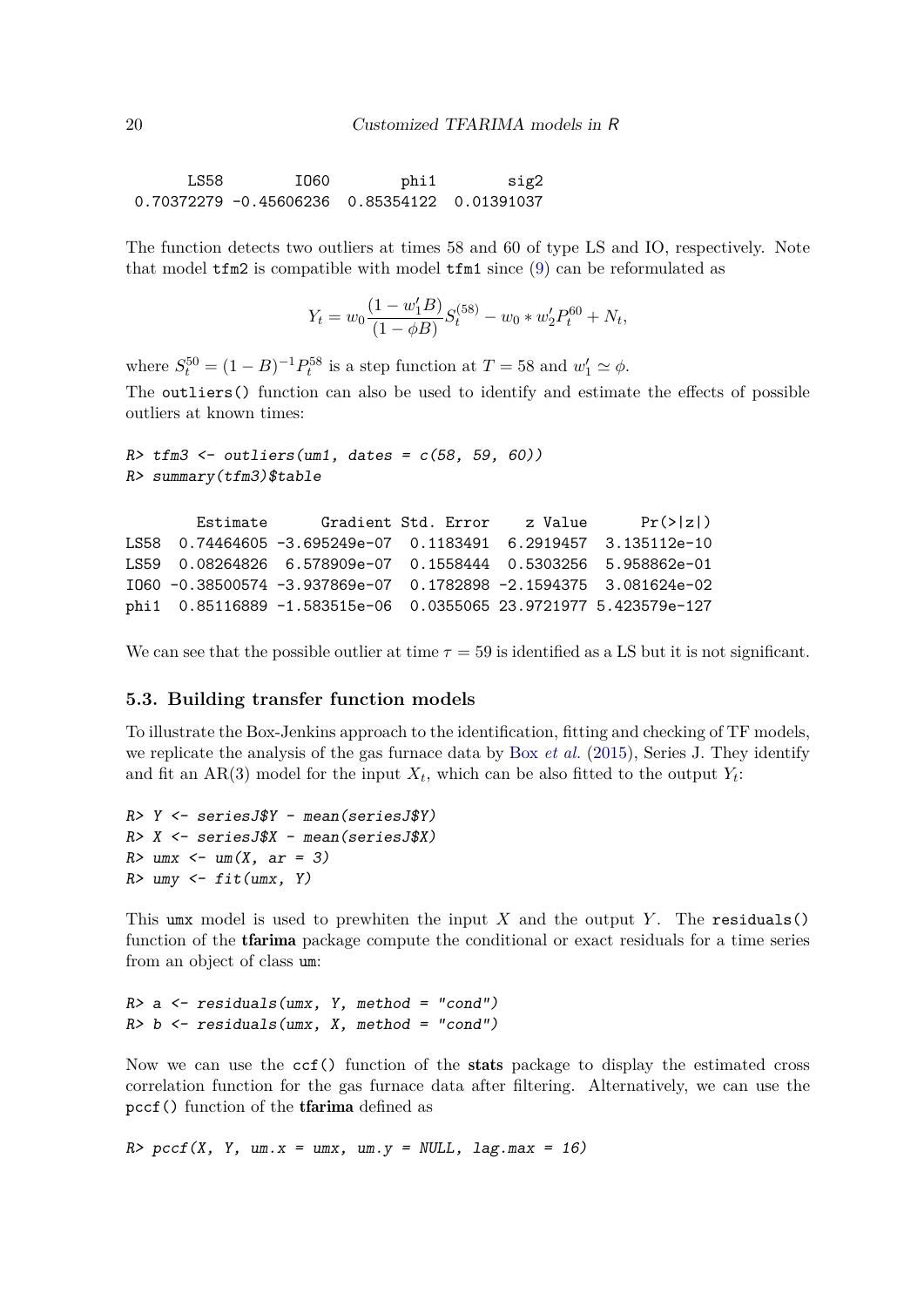LS58 IO60 phi1 sig2 0.70372279 -0.45606236 0.85354122 0.01391037

The function detects two outliers at times 58 and 60 of type LS and IO, respectively. Note that model tfm2 is compatible with model tfm1 since (9) can be reformulated as

$$
Y_t = w_0 \frac{(1 - w'_1 B)}{(1 - \phi B)} S_t^{(58)} - w_0 * w'_2 P_t^{60} + N_t,
$$

where  $S_t^{50} = (1 - B)^{-1} P_t^{58}$  is a step function at  $T = 58$  and  $w_1' \simeq \phi$ .

The outliers() function can also be used to identify and estimate the effects of possible outliers at known times:

```
R> tfm3 <- outliers(um1, dates = c(58, 59, 60))
R> summary(tfm3)$table
```

```
Estimate Gradient Std. Error z Value Pr(>|z|)
LS58 0.74464605 -3.695249e-07 0.1183491 6.2919457 3.135112e-10
LS59 0.08264826 6.578909e-07 0.1558444 0.5303256 5.958862e-01
IO60 -0.38500574 -3.937869e-07 0.1782898 -2.1594375 3.081624e-02
phi1 0.85116889 -1.583515e-06 0.0355065 23.9721977 5.423579e-127
```
We can see that the possible outlier at time  $\tau = 59$  is identified as a LS but it is not significant.

#### **5.3. Building transfer function models**

To illustrate the Box-Jenkins approach to the identification, fitting and checking of TF models, we replicate the analysis of the gas furnace data by Box *et al.* (2015), Series J. They identify and fit an  $AR(3)$  model for the input  $X_t$ , which can be also fitted to the output  $Y_t$ :

```
R> Y <- seriesJ$Y - mean(seriesJ$Y)
R> X <- seriesJ$X - mean(seriesJ$X)
R> umx <- um(X, ar = 3)
R> umy <- fit(umx, Y)
```
This umx model is used to prewhiten the input  $X$  and the output  $Y$ . The residuals() function of the **tfarima** package compute the conditional or exact residuals for a time series from an object of class um:

*R> a <- residuals(umx, Y, method = "cond") R> b <- residuals(umx, X, method = "cond")*

Now we can use the ccf() function of the stats package to display the estimated cross correlation function for the gas furnace data after filtering. Alternatively, we can use the pccf() function of the tfarima defined as

*R> pccf(X, Y, um.x = umx, um.y = NULL, lag.max = 16)*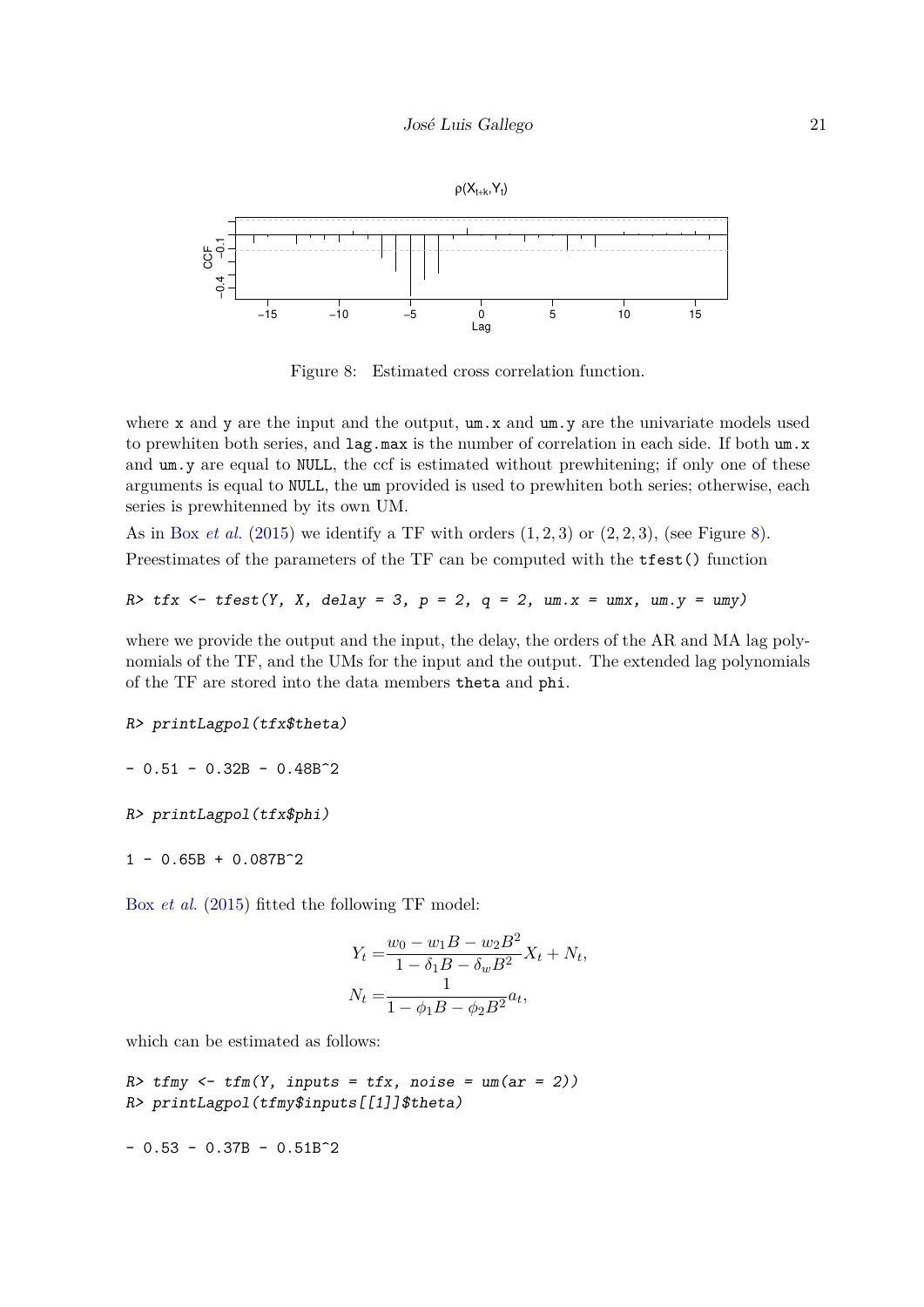

Figure 8: Estimated cross correlation function.

where x and y are the input and the output,  $um.x$  and  $um.y$  are the univariate models used to prewhiten both series, and  $\text{lag.max}$  is the number of correlation in each side. If both um.x and um.y are equal to NULL, the ccf is estimated without prewhitening; if only one of these arguments is equal to NULL, the um provided is used to prewhiten both series; otherwise, each series is prewhitenned by its own UM.

As in Box *et al.* (2015) we identify a TF with orders  $(1, 2, 3)$  or  $(2, 2, 3)$ , (see Figure 8). Preestimates of the parameters of the TF can be computed with the tfest() function

*R> tfx <- tfest(Y, X, delay = 3, p = 2, q = 2, um.x = umx, um.y = umy)*

where we provide the output and the input, the delay, the orders of the AR and MA lag polynomials of the TF, and the UMs for the input and the output. The extended lag polynomials of the TF are stored into the data members theta and phi.

```
R> printLagpol(tfx$theta)
```
 $- 0.51 - 0.32B - 0.48B^2$ 

*R> printLagpol(tfx\$phi)*

 $1 - 0.65B + 0.087B^2$ 

Box *et al.* (2015) fitted the following TF model:

$$
Y_t = \frac{w_0 - w_1B - w_2B^2}{1 - \delta_1B - \delta_wB^2}X_t + N_t,
$$
  

$$
N_t = \frac{1}{1 - \phi_1B - \phi_2B^2}a_t,
$$

which can be estimated as follows:

 $R$  tfmy  $\leftarrow$  tfm(Y, inputs = tfx, noise =  $um(ar = 2)$ ) *R> printLagpol(tfmy\$inputs[[1]]\$theta)*

 $- 0.53 - 0.37B - 0.51B^2$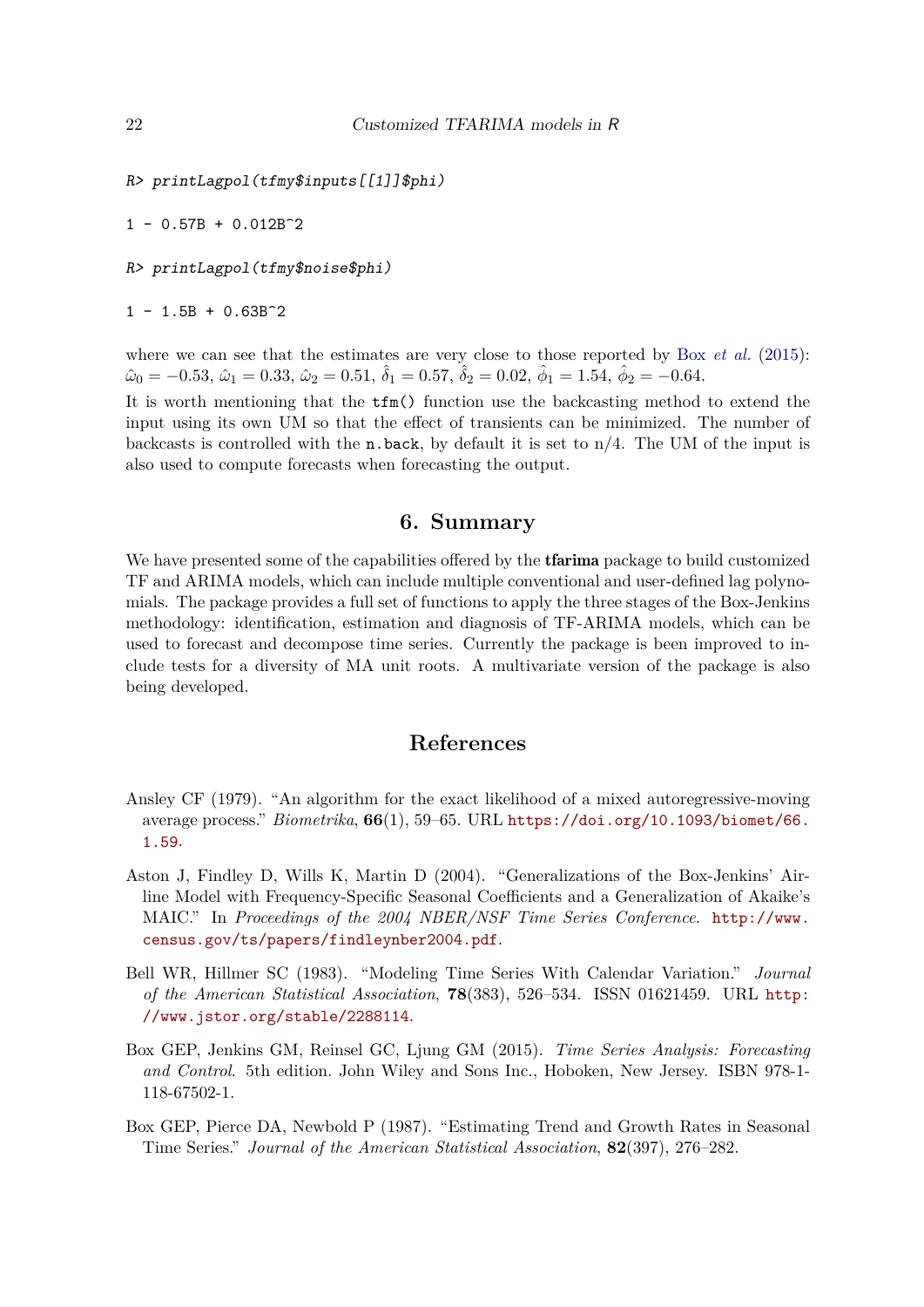```
R> printLagpol(tfmy$inputs[[1]]$phi)
```
 $1 - 0.57B + 0.012B^2$ 

*R> printLagpol(tfmy\$noise\$phi)*

 $1 - 1.5B + 0.63B^2$ 

where we can see that the estimates are very close to those reported by Box *et al.* (2015):  $\hat{\omega}_0 = -0.53, \, \hat{\omega}_1 = 0.33, \, \hat{\omega}_2 = 0.51, \, \hat{\delta}_1 = 0.57, \, \hat{\delta}_2 = 0.02, \, \hat{\phi}_1 = 1.54, \, \hat{\phi}_2 = -0.64.$ 

It is worth mentioning that the tfm() function use the backcasting method to extend the input using its own UM so that the effect of transients can be minimized. The number of backcasts is controlled with the n.back, by default it is set to  $n/4$ . The UM of the input is also used to compute forecasts when forecasting the output.

## **6. Summary**

We have presented some of the capabilities offered by the **tfarima** package to build customized TF and ARIMA models, which can include multiple conventional and user-defined lag polynomials. The package provides a full set of functions to apply the three stages of the Box-Jenkins methodology: identification, estimation and diagnosis of TF-ARIMA models, which can be used to forecast and decompose time series. Currently the package is been improved to include tests for a diversity of MA unit roots. A multivariate version of the package is also being developed.

# **References**

- Ansley CF (1979). "An algorithm for the exact likelihood of a mixed autoregressive-moving average process." *Biometrika*, **66**(1), 59–65. URL https://doi.org/10.1093/biomet/66. 1.59.
- Aston J, Findley D, Wills K, Martin D (2004). "Generalizations of the Box-Jenkins' Airline Model with Frequency-Specific Seasonal Coefficients and a Generalization of Akaike's MAIC." In *Proceedings of the 2004 NBER/NSF Time Series Conference*. http://www. census.gov/ts/papers/findleynber2004.pdf.
- Bell WR, Hillmer SC (1983). "Modeling Time Series With Calendar Variation." *Journal of the American Statistical Association*, **78**(383), 526–534. ISSN 01621459. URL http: //www.jstor.org/stable/2288114.
- Box GEP, Jenkins GM, Reinsel GC, Ljung GM (2015). *Time Series Analysis: Forecasting and Control*. 5th edition. John Wiley and Sons Inc., Hoboken, New Jersey. ISBN 978-1- 118-67502-1.
- Box GEP, Pierce DA, Newbold P (1987). "Estimating Trend and Growth Rates in Seasonal Time Series." *Journal of the American Statistical Association*, **82**(397), 276–282.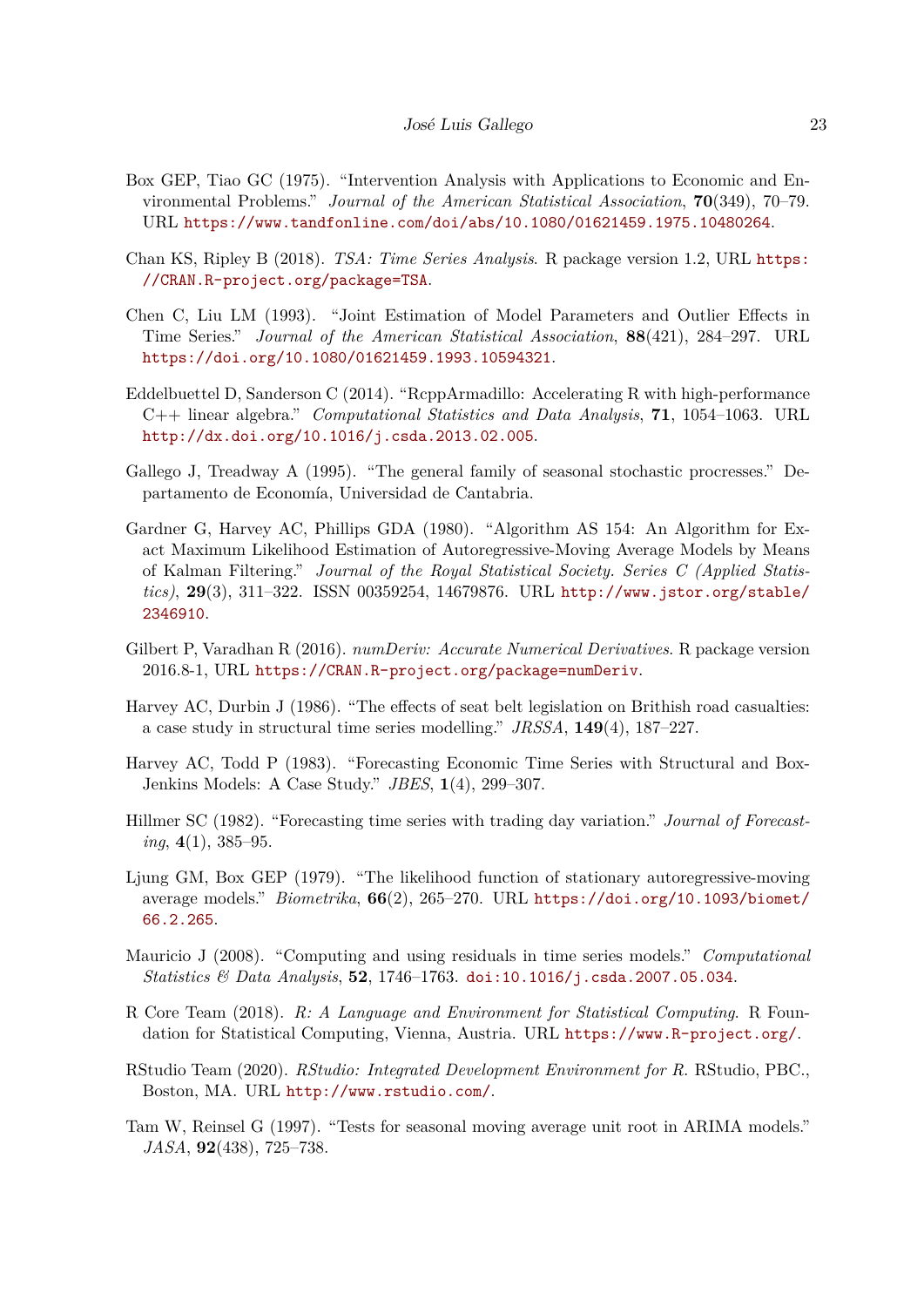- Box GEP, Tiao GC (1975). "Intervention Analysis with Applications to Economic and Environmental Problems." *Journal of the American Statistical Association*, **70**(349), 70–79. URL https://www.tandfonline.com/doi/abs/10.1080/01621459.1975.10480264.
- Chan KS, Ripley B (2018). *TSA: Time Series Analysis*. R package version 1.2, URL https: //CRAN.R-project.org/package=TSA.
- Chen C, Liu LM (1993). "Joint Estimation of Model Parameters and Outlier Effects in Time Series." *Journal of the American Statistical Association*, **88**(421), 284–297. URL https://doi.org/10.1080/01621459.1993.10594321.
- Eddelbuettel D, Sanderson C (2014). "RcppArmadillo: Accelerating R with high-performance C++ linear algebra." *Computational Statistics and Data Analysis*, **71**, 1054–1063. URL http://dx.doi.org/10.1016/j.csda.2013.02.005.
- Gallego J, Treadway A (1995). "The general family of seasonal stochastic procresses." Departamento de Economía, Universidad de Cantabria.
- Gardner G, Harvey AC, Phillips GDA (1980). "Algorithm AS 154: An Algorithm for Exact Maximum Likelihood Estimation of Autoregressive-Moving Average Models by Means of Kalman Filtering." *Journal of the Royal Statistical Society. Series C (Applied Statistics)*, **29**(3), 311–322. ISSN 00359254, 14679876. URL http://www.jstor.org/stable/ 2346910.
- Gilbert P, Varadhan R (2016). *numDeriv: Accurate Numerical Derivatives*. R package version 2016.8-1, URL https://CRAN.R-project.org/package=numDeriv.
- Harvey AC, Durbin J (1986). "The effects of seat belt legislation on Brithish road casualties: a case study in structural time series modelling." *JRSSA*, **149**(4), 187–227.
- Harvey AC, Todd P (1983). "Forecasting Economic Time Series with Structural and Box-Jenkins Models: A Case Study." *JBES*, **1**(4), 299–307.
- Hillmer SC (1982). "Forecasting time series with trading day variation." *Journal of Forecasting*, **4**(1), 385–95.
- Ljung GM, Box GEP (1979). "The likelihood function of stationary autoregressive-moving average models." *Biometrika*, **66**(2), 265–270. URL https://doi.org/10.1093/biomet/ 66.2.265.
- Mauricio J (2008). "Computing and using residuals in time series models." *Computational Statistics & Data Analysis*, **52**, 1746–1763. doi:10.1016/j.csda.2007.05.034.
- R Core Team (2018). *R: A Language and Environment for Statistical Computing*. R Foundation for Statistical Computing, Vienna, Austria. URL https://www.R-project.org/.
- RStudio Team (2020). *RStudio: Integrated Development Environment for R*. RStudio, PBC., Boston, MA. URL http://www.rstudio.com/.
- Tam W, Reinsel G (1997). "Tests for seasonal moving average unit root in ARIMA models." *JASA*, **92**(438), 725–738.